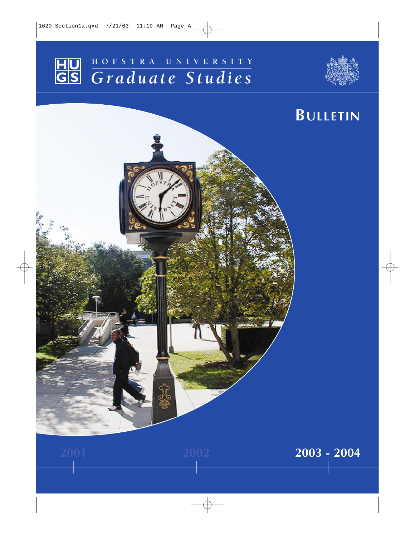# HU **HOFSTRA UNIVERSITY**<br>GS *Graduate* Studies  $Graduate$  Studies



# **BULLETIN 2001 2002 2003 - 2004**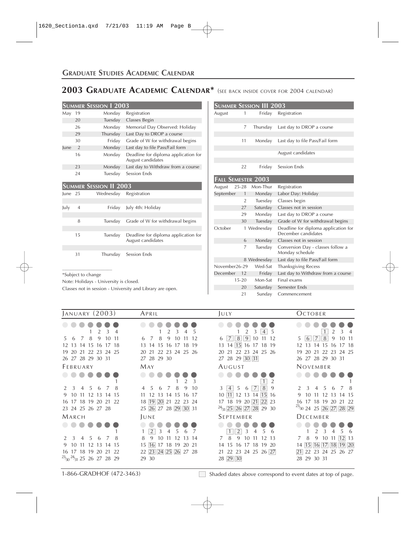## **GRADUATE STUDIES ACADEMIC CALENDAR**

# **2003 GRADUATE ACADEMIC CALENDAR\*** (SEE BACK INSIDE COVER FOR 2004 CALENDAR)

|      |                | <b>SUMMER SESSION 1 2003</b> |                                                           |
|------|----------------|------------------------------|-----------------------------------------------------------|
| May  | 19             | Monday                       | Registration                                              |
|      | 20             | Tuesday                      | Classes Begin                                             |
|      | 26             | Monday                       | Memorial Day Observed: Holiday                            |
|      | 29             | Thursday                     | Last Day to DROP a course                                 |
|      | 30             | Friday                       | Grade of W for withdrawal begins                          |
| lune | $\overline{2}$ | Monday                       | Last day to file Pass/Fail form                           |
|      | 16             | Monday                       | Deadline for diploma application for<br>August candidates |
|      | 23             | Monday                       | Last day to Withdraw from a course                        |
|      | 24             | Tuesday                      | Session Ends                                              |

|           |                | <b>SUMMER SESSION II 2003</b> |                                                           |
|-----------|----------------|-------------------------------|-----------------------------------------------------------|
| $lune$ 25 |                | Wednesday                     | Registration                                              |
|           |                |                               |                                                           |
| July      | $\overline{4}$ | Friday                        | July 4th: Holiday                                         |
|           |                |                               |                                                           |
|           | 8              | Tuesday                       | Grade of W for withdrawal begins                          |
|           |                |                               |                                                           |
|           | 15             | Tuesday                       | Deadline for diploma application for<br>August candidates |
|           |                |                               |                                                           |
|           | 31             |                               | Thursday Session Ends                                     |

\_\_\_\_\_\_\_\_\_\_\_\_\_\_\_\_\_\_\_\_\_ \*Subject to change

Note: Holidays - University is closed.

Classes not in session - University and Library are open.

|                           |                | SUMMER SESSION III 2003 |                                                             |
|---------------------------|----------------|-------------------------|-------------------------------------------------------------|
| August                    | 1              | Friday                  | Registration                                                |
|                           |                |                         |                                                             |
|                           | 7              | Thursday                | Last day to DROP a course                                   |
|                           |                |                         |                                                             |
|                           | 11             | Monday                  | Last day to file Pass/Fail form                             |
|                           |                |                         | August candidates                                           |
|                           |                |                         |                                                             |
|                           | 22             | Friday                  | <b>Session Ends</b>                                         |
| <b>FALL SEMESTER 2003</b> |                |                         |                                                             |
| August                    | $25 - 28$      | Mon-Thur                | Registration                                                |
| September                 | $\mathbf{1}$   | Monday                  | Labor Day: Holiday                                          |
|                           | $\overline{2}$ | Tuesday                 | Classes begin                                               |
|                           | 27             | Saturday                | Classes not in session                                      |
|                           | 29             | Monday                  | Last day to DROP a course                                   |
|                           | 30             | Tuesday                 | Grade of W for withdrawal begins                            |
| October                   |                | 1 Wednesday             | Deadline for diploma application for<br>December candidates |
|                           | 6              | Monday                  | Classes not in session                                      |
|                           | $\overline{7}$ | Tuesday                 | Conversion Day - classes follow a<br>Monday schedule        |
|                           |                | 8 Wednesday             | Last day to file Pass/Fail form                             |
| November26-29             |                | Wed-Sat                 | <b>Thanksgiving Recess</b>                                  |
| December 12               |                | Friday                  | Last day to Withdraw from a course                          |
|                           | $15 - 20$      | Mon-Sat                 | Final exams                                                 |
|                           | 20             | Saturday                | Semester Ends                                               |
|                           | 21             | Sunday                  | Commencement                                                |

| <b>JANUARY (2003)</b>                                                  | APRIL                                         | JULY                                         | <b>OCTOBER</b>                                                   |
|------------------------------------------------------------------------|-----------------------------------------------|----------------------------------------------|------------------------------------------------------------------|
|                                                                        |                                               | $\mathfrak{D}$<br>$\overline{4}$<br>5        | $\mathcal{P}$<br>3                                               |
| 8<br>9<br>1011<br>7<br>.5<br>6                                         | 8<br>9<br>10<br>12<br>6<br>7                  | $\overline{7}$<br>8<br>9<br>10<br>12<br>6    | $\overline{7}$<br>8<br>6<br>9<br>1011<br>.5                      |
| 13<br>14 15<br>-16<br>17 18<br>12                                      | 13<br>15<br>18<br>-19<br>14<br>16<br>17       | 13 14 15<br>16 17<br>18 19                   | 15<br>14<br>12<br>13<br>16<br>17 18                              |
| 20<br>22<br>23 24 25<br>19<br>-21                                      | 22 23<br>24 25 26<br>20<br>21                 | 22 23 24<br>21<br>20<br>-25 - 26             | 22<br>23<br>24 25<br>20<br>21<br>19                              |
| 26 27 28 29 30 31                                                      | 27 28 29 30                                   | 27 28 29 30 31                               | 26 27 28 29 30 31                                                |
| FEBRUARY                                                               | MAY                                           | AUGUST                                       | NOVEMBER                                                         |
|                                                                        |                                               |                                              |                                                                  |
|                                                                        | 3                                             |                                              |                                                                  |
| .5<br>3<br>$\overline{4}$<br>6<br>8<br>$\overline{7}$<br>$\mathcal{L}$ | 8<br>9<br>10<br>$\overline{4}$<br>5<br>7<br>6 | 7<br>8<br>$\overline{4}$<br>5<br>9<br>3<br>6 | $\mathcal{E}$<br>$\mathcal{P}$<br>$\overline{4}$<br>5<br>-8<br>6 |
| 10<br>12 13 14 15<br>-11<br>9                                          | 11<br>12<br>13<br>14<br>15<br>16 17           | 10 11 12 13 14 15 16                         | 9<br>10<br>12<br>-11<br>13<br>14 15                              |
| 18 19<br>17<br>20<br>21<br>22<br>16                                    | 19 20<br>21<br>18<br>22<br>24<br>23           | 17 18 19 20 21<br>22<br>23                   | 18<br>19<br>22<br>16<br>17<br>20<br>21                           |
| 23 24 25 26 27 28                                                      | 25 26 27 28 29 30 31                          | $^{24}/_{31}$ 25 26 27 28 29 30              | $^{23}/30$ 24 25 26 27 28 29                                     |
| MARCH                                                                  | JUNE                                          | SEPTEMBER                                    | DECEMBER                                                         |
|                                                                        |                                               |                                              |                                                                  |
|                                                                        | 2<br>3                                        | $\overline{2}$<br>3                          | 6                                                                |
| 5<br>8<br>3<br>$\overline{4}$<br>6<br>7<br>$\mathcal{P}$               | 9<br>8<br>10<br>12<br>13<br>-14               | 8<br>9<br>7<br>10<br>12<br>13<br>11          | $12 \ 13$<br>7<br>8<br>9<br>10<br>11                             |
| 12<br>9<br>10<br>11<br>13<br>14 15                                     | 15<br>16<br>17<br>18 19<br>20 21              | 15<br>16 17 18 19 20<br>14                   | 16 17<br>14   15  <br>18<br>19 20                                |
| 17<br>18 19 20<br>21<br>22<br>16                                       | 22 23 24 25 26 27 28                          | 21 22 23 24 25 26 27                         | 22<br>23 24 25 26 27<br> 21                                      |
| $^{23}/_{30}$ $^{24}/_{31}$ 25 26 27 28 29                             | 29 30                                         | 28 29 30                                     | 29 30 31<br>28                                                   |

1-866-GRADHOF (472-3463) Shaded dates above correspond to event dates at top of page.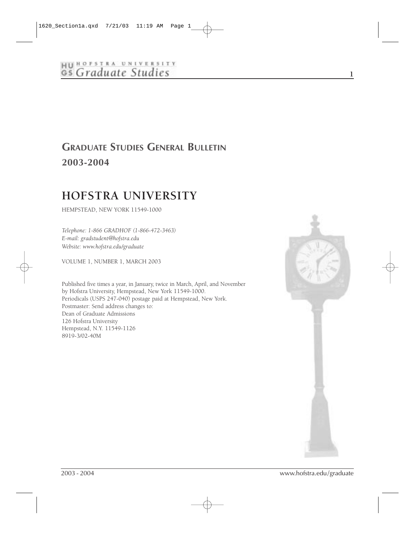# HU HOFSTRA UNIVERSITY<br>GS Graduate Studies

# **GRADUATE STUDIES GENERAL BULLETIN 2003-2004**

# **HOFSTRA UNIVERSITY**

HEMPSTEAD, NEW YORK 11549-1000

*Telephone: 1-866 GRADHOF (1-866-472-3463) E-mail: gradstudent@hofstra.edu Website: www.hofstra.edu/graduate*

VOLUME 1, NUMBER 1, MARCH 2003

Published five times a year, in January, twice in March, April, and November by Hofstra University, Hempstead, New York 11549-1000. Periodicals (USPS 247-040) postage paid at Hempstead, New York. Postmaster: Send address changes to: Dean of Graduate Admissions 126 Hofstra University Hempstead, N.Y. 11549-1126 8919-3/02-40M



**1**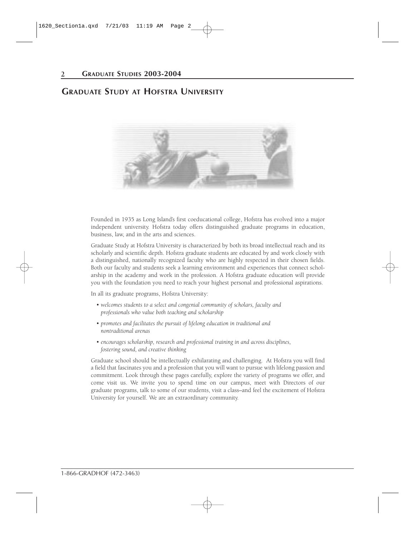## **GRADUATE STUDY AT HOFSTRA UNIVERSITY**



Founded in 1935 as Long Island's first coeducational college, Hofstra has evolved into a major independent university. Hofstra today offers distinguished graduate programs in education, business, law, and in the arts and sciences.

Graduate Study at Hofstra University is characterized by both its broad intellectual reach and its scholarly and scientific depth. Hofstra graduate students are educated by and work closely with a distinguished, nationally recognized faculty who are highly respected in their chosen fields. Both our faculty and students seek a learning environment and experiences that connect scholarship in the academy and work in the profession. A Hofstra graduate education will provide you with the foundation you need to reach your highest personal and professional aspirations.

In all its graduate programs, Hofstra University:

- *welcomes students to a select and congenial community of scholars, faculty and professionals who value both teaching and scholarship*
- *promotes and facilitates the pursuit of lifelong education in traditional and nontraditional arenas*
- *encourages scholarship, research and professional training in and across disciplines, fostering sound, and creative thinking*

Graduate school should be intellectually exhilarating and challenging. At Hofstra you will find a field that fascinates you and a profession that you will want to pursue with lifelong passion and commitment. Look through these pages carefully, explore the variety of programs we offer, and come visit us. We invite you to spend time on our campus, meet with Directors of our graduate programs, talk to some of our students, visit a class–and feel the excitement of Hofstra University for yourself. We are an extraordinary community.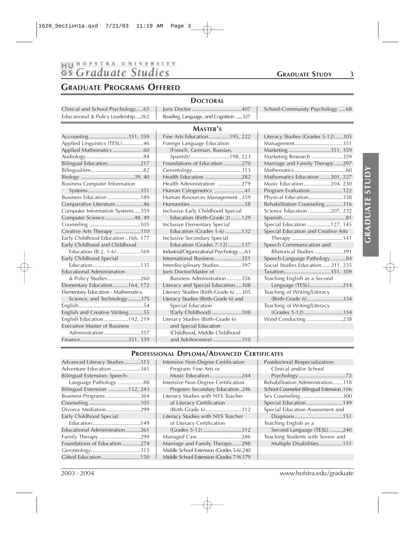# HU HOFSTRA UNIVERSITY<br>GS Graduate Studies

#### **GRADUATE PROGRAMS OFFERED**

#### **DOCTORAL**

| Clinical and School Psychology65   Juris Doctor 407                         | School-Community Psychology68 |
|-----------------------------------------------------------------------------|-------------------------------|
| Educational & Policy Leadership262   Reading, Language, and Cognition 327 ' |                               |

#### **MASTER'S**

| Accounting351, 359                   | Fine Arts Education195, 222             | Literacy Studies (Grades 5-12)305   |
|--------------------------------------|-----------------------------------------|-------------------------------------|
| Applied Linguistics (TESL)46         | Foreign Language Education              | Management351                       |
| Applied Mathematics 60               | (French, German, Russian,               | Marketing351, 359                   |
|                                      | Spanish)198, 223                        | Marketing Research 359              |
| Bilingual Education217               | Foundations of Education 270            | Marriage and Family Therapy297      |
|                                      |                                         |                                     |
|                                      | Health Education 282                    | Mathematics Education 201, 227      |
| <b>Business Computer Information</b> | Health Administration 279               | Music Education204, 230             |
|                                      | Human Cytogenetics 41                   | Program Evaluation122               |
| Business Education 189               | Human Resources Management359           | Physical Education338               |
| Comparative Literature 46            |                                         | Rehabilitation Counseling116        |
| Computer Information Systems359      | Inclusive Early Childhood Special       | Science Education 207, 232          |
| Computer Science 48, 49              | Education (Birth-Grade 2)129            |                                     |
|                                      | Inclusive Elementary Special            | Special Education127, 145           |
| Creative Arts Therapy 110            | Education (Grades 1-6)132               | Special Education and Creative Arts |
| Early Childhood Education166, 177    | Inclusive Secondary Special             |                                     |
| Early Childhood and Childhood        | Education (Grades 7-12)137              | Speech Communication and            |
| Education (B-2, 1-6)169              | Industrial/Organizational Psychology 63 | Rhetorical Studies391               |
| Early Childhood Special              | International Business351               | Speech-Language Pathology84         |
|                                      | Interdisciplinary Studies397            | Social Studies Education211, 235    |
| <b>Educational Administration</b>    | Juris Doctor/Master of                  | Taxation351, 359                    |
|                                      | Business Administration356              | Teaching English as a Second        |
| Elementary Education 164, 172        | Literacy and Special Education308       | Language (TESL)214                  |
| Elementary Education - Mathematics,  | Literacy Studies (Birth-Grade 6) 305    | Teaching of Writing/Literacy        |
| Science, and Technology175           | Literacy Studies (Birth-Grade 6) and    | (Birth-Grade 6)334                  |
|                                      | Special Education                       | Teaching of Writing/Literacy        |
| English and Creative Writing55       | (Early Childhood)308                    | (Grades 5-12)334                    |
| English Education 192, 219           | Literacy Studies (Birth-Grade 6)        | Wind Conducting 238                 |
| <b>Executive Master of Business</b>  | and Special Education                   |                                     |
| Administration 357                   | (Childhood, Middle Childhood            |                                     |
| Finance351, 359                      | and Adolescence) 310                    |                                     |

#### Applied Linguistics (TESL)..............46 Foreign Language Education Management................................351 1, Marketing .................................351, 359 Audiology......................................84 Spanish)..........................198, 223 Marketing Research .....................359 Bilingual Education......................217 Foundations of Education ............270 Marriage and Family Therapy......297 Bilingualism...................................82 Gerontology.................................113 Mathematics ..................................60 ..........282 | Mathematics Education .......201, 227 Business Computer Information Health Administration ................279 Music Education..................204, 230 ...........41 | Program Evaluation........................122 hent ..359 | Physical Education.........................338 ............58 Rehabilitation Counseling..............116 Computer Information Systems ....359 Inclusive Early Childhood Special Science Education ...............207, 232 Computer Science ...................48, 49 Education (Birth-Grade 2) .......129 Spanish..........................................81 Special Education.................127, 145 .........132 | Special Education and Creative Arts Early Childhood Education ..166, 177 Inclusive Secondary Special Therapy ..................................141 Early Childhood Speech Communication and Education 2013 logy .....63 Rhetorical Studies ....................391<br>..........351 Speech-Language Pathology ...........84 Speech-Language Pathology ...........84 ..........397 | Social Studies Education......211, 235 Educational Administration Juris Doctor/Master of Taxation...............................351, 359 .........356 **Feaching English as a Second** Elementary Education ..........164, 172 Literacy and Special Education....308 Language (TESL)......................214 6) ....305 Teaching of Writing/Literacy<br>6) and (Birth-Grade 6) ................  $(Birth-Grade 6)$ ...............................334 Teaching of Writing/Literacy English and Creative Writing..........55 (Early Childhood)....................308 (Grades 5-12)..........................334 English Education ................192, 219 Literacy Studies (Birth-Grade 6) Wind Conducting ........................238

# **TE STUDY GRADUATE STUDY GRADUA**

#### **PROFESSIONAL DIPLOMA/ADVANCED CERTIFICATES**

| Advanced Literacy Studies315  | Intensive Non-Degree Certification       | Postdoctoral Respecialization:           |
|-------------------------------|------------------------------------------|------------------------------------------|
| Adventure Education 341       | Program: Fine Arts or                    | Clinical and/or School                   |
| Bilingual Extension: Speech-  | Music Education 244                      |                                          |
| Language Pathology 88         | Intensive Non-Degree Certification       | Rehabilitation Administration118         |
| Bilingual Extension 152, 243  | Program: Secondary Education246          | School Counselor Bilingual Extension.106 |
| Business Programs 364         | Literacy Studies with NYS Teacher        | Sex Counseling300                        |
|                               | of Literacy Certification                | Special Education 149                    |
| Divorce Mediation299          | (Birth-Grade 6)312                       | Special Education Assessment and         |
| Early Childhood Special       | Literacy Studies with NYS Teacher        |                                          |
|                               | of Literacy Certification                | Teaching English as a                    |
| Educational Administration261 |                                          | Second Language (TESL) 240               |
| Family Therapy299             |                                          | Teaching Students with Severe and        |
| Foundations of Education 274  | Marriage and Family Therapy298           | Multiple Disabilities151                 |
|                               | Middle School Extension (Grades 5-6).240 |                                          |
| Gifted Education150           | Middle School Extension (Grades 7-9).179 |                                          |
|                               |                                          |                                          |

#### 2003 - 2004 www.hofstra.edu/graduate

#### **GRADUATE STUDY 3**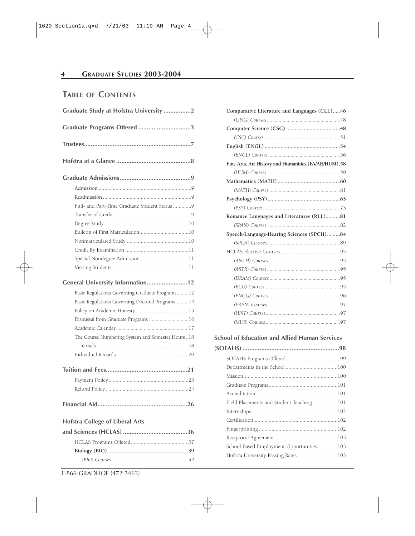## **TABLE OF CONTENTS**

| Graduate Study at Hofstra University 2           |  |
|--------------------------------------------------|--|
| Graduate Programs Offered 3                      |  |
|                                                  |  |
|                                                  |  |
|                                                  |  |
|                                                  |  |
|                                                  |  |
|                                                  |  |
|                                                  |  |
|                                                  |  |
|                                                  |  |
|                                                  |  |
|                                                  |  |
|                                                  |  |
|                                                  |  |
| General University Information12                 |  |
| Basic Regulations Governing Graduate Programs12  |  |
| Basic Regulations Governing Doctoral Programs14  |  |
|                                                  |  |
| Dismissal from Graduate Programs 16              |  |
|                                                  |  |
| The Course Numbering System and Semester Hours18 |  |
|                                                  |  |
|                                                  |  |
|                                                  |  |
|                                                  |  |
|                                                  |  |
|                                                  |  |
|                                                  |  |
| <b>Hofstra College of Liberal Arts</b>           |  |
|                                                  |  |
|                                                  |  |
|                                                  |  |
|                                                  |  |

**Comparative Literature and Languages (CLL).....46** *(LING) Courses ........................................................*48 **Computer Science (CSC) .....................................48** *(CSC) Courses ..........................................................*51 **English (ENGL) ....................................................54** *(ENGL) Courses .......................................................*56 **Fine Arts, Art History and Humanities (FA/AH/HUM).58** *(HUM) Courses ........................................................*59 **Mathematics (MATH) ...........................................60** *(MATH) Courses.......................................................*61 **Psychology (PSY)..................................................63** *(PSY) Courses...........................................................*73 **Romance Languages and Literatures (RLL)..........81** *(SPAN) Courses ........................................................*82 **Speech-Language-Hearing Sciences (SPCH).........84** *(SPCH) Courses........................................................*89 HCLAS Elective Courses...........................................95 *(ANTH) Courses.......................................................*95 *(ASTR) Courses ........................................................*95 *(DRAM) Courses ......................................................*95 *(ECO) Courses..........................................................*95 *(ENGG) Courses.......................................................*96 *(FREN) Courses........................................................*97 *(HIST) Courses.........................................................*97 *(MUS) Courses .........................................................*97

**School of Education and Allied Human Services**

| School-Based Employment Opportunities103 |  |
|------------------------------------------|--|
| Hofstra University Passing Rates103      |  |
|                                          |  |

1-866-GRADHOF (472-3463)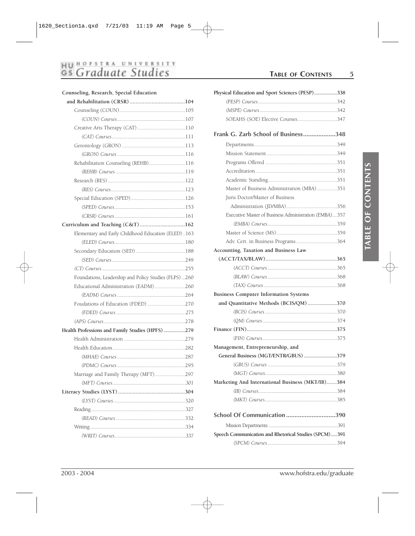# HU HOFSTRA UNIVERSITY<br>GS Graduate Studies

| Counseling, Research, Special Education |  |  |  |
|-----------------------------------------|--|--|--|
|-----------------------------------------|--|--|--|

| Rehabilitation Counseling (REHB)116                  |  |
|------------------------------------------------------|--|
|                                                      |  |
|                                                      |  |
|                                                      |  |
|                                                      |  |
|                                                      |  |
|                                                      |  |
| Curriculum and Teaching (C&T) 162                    |  |
| Elementary and Early Childhood Education (ELED)163   |  |
|                                                      |  |
|                                                      |  |
|                                                      |  |
|                                                      |  |
| Foundations, Leadership and Policy Studies (FLPS)260 |  |
| Educational Administration (EADM)260                 |  |
|                                                      |  |
| Foudations of Education (FDED) 270                   |  |
|                                                      |  |
|                                                      |  |
| Health Professions and Family Studies (HPFS)279      |  |
|                                                      |  |
|                                                      |  |
|                                                      |  |
|                                                      |  |
| Marriage and Family Therapy (MFT)297                 |  |
|                                                      |  |
|                                                      |  |
|                                                      |  |
|                                                      |  |
|                                                      |  |
|                                                      |  |
|                                                      |  |

## **TABLE OF CONTENTS 5**

| Physical Education and Sport Sciences (PESP)338       |  |
|-------------------------------------------------------|--|
|                                                       |  |
|                                                       |  |
| SOEAHS (SOE) Elective Courses347                      |  |
| Frank G. Zarb School of Business348                   |  |
|                                                       |  |
|                                                       |  |
|                                                       |  |
|                                                       |  |
|                                                       |  |
| Master of Business Administration (MBA) 351           |  |
| Juris Doctor/Master of Business                       |  |
|                                                       |  |
| Executive Master of Business Administration (EMBA)357 |  |
|                                                       |  |
|                                                       |  |
| Adv. Cert. in Business Programs364                    |  |
| Accounting, Taxation and Business Law                 |  |
|                                                       |  |
|                                                       |  |
|                                                       |  |
|                                                       |  |
| <b>Business Computer Information Systems</b>          |  |
| and Quantitative Methods (BCIS/QM)370                 |  |
|                                                       |  |
|                                                       |  |
|                                                       |  |
|                                                       |  |
| Management, Entrepreneurship, and                     |  |
| General Business (MGT/ENTR/GBUS) 379                  |  |
|                                                       |  |
|                                                       |  |
| Marketing And International Business (MKT/IB)384      |  |
|                                                       |  |
|                                                       |  |
| School Of Communication 390                           |  |
|                                                       |  |
| Speech Communication and Rhetorical Studies (SPCM)391 |  |

*(SPCM) Courses .....................................................*394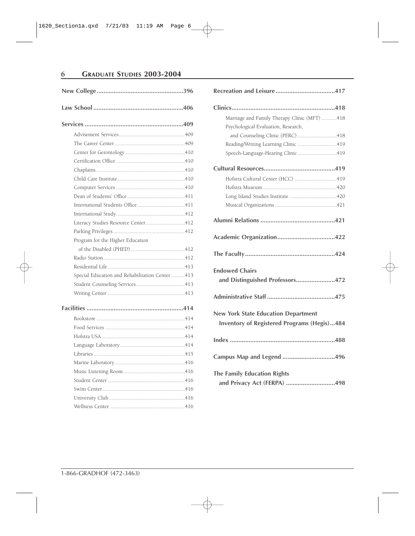Æ

# **6 GRADUATE STUDIES 2003-2004**

| Literacy Studies Resource Center412            |  |
|------------------------------------------------|--|
|                                                |  |
| Program for the Higher Education               |  |
|                                                |  |
|                                                |  |
|                                                |  |
| Special Education and Rehabilitation Center413 |  |
|                                                |  |
|                                                |  |
|                                                |  |
|                                                |  |
|                                                |  |
|                                                |  |
|                                                |  |
|                                                |  |
|                                                |  |
|                                                |  |
|                                                |  |
|                                                |  |
|                                                |  |
|                                                |  |

| Marriage and Family Therapy Clinic (MFT) 418                                                     |  |  |
|--------------------------------------------------------------------------------------------------|--|--|
| Psychological Evaluation, Research,                                                              |  |  |
| and Counseling Clinic (PERC)418                                                                  |  |  |
| Reading/Writing Learning Clinic 419                                                              |  |  |
| Speech-Language-Hearing Clinic419                                                                |  |  |
|                                                                                                  |  |  |
| Hofstra Cultural Center (HCC) 419                                                                |  |  |
|                                                                                                  |  |  |
|                                                                                                  |  |  |
|                                                                                                  |  |  |
|                                                                                                  |  |  |
|                                                                                                  |  |  |
|                                                                                                  |  |  |
| <b>Endowed Chairs</b><br>and Distinguished Professors472                                         |  |  |
|                                                                                                  |  |  |
| <b>New York State Education Department</b><br><b>Inventory of Registered Programs (Hegis)484</b> |  |  |
|                                                                                                  |  |  |
| Campus Map and Legend 496                                                                        |  |  |
| <b>The Family Education Rights</b>                                                               |  |  |
| and Privacy Act (FERPA) 498                                                                      |  |  |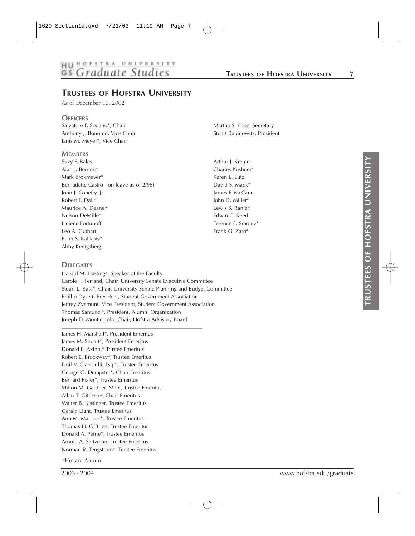# HU HOFSTRA UNIVERSITY

## **TRUSTEES OF HOFSTRA UNIVERSITY**

As of December 10, 2002

**OFFICERS**<br>Salvatore F. Sodano\*, Chair Anthony J. Bonomo, Vice Chair Stuart Rabinowitz, President Janis M. Meyer\*, Vice Chair

#### **MEMBERS**

Suzy F. Bales **Arthur J. Kremer** Arthur J. Kremer Alan J. Bernon\* Charles Kushner\* Mark Broxmeyer\* The Contract of the Contract of the Karen L. Lutz Bernadette Castro (on leave as of 2/95) David S. Mack\* John J. Conefry, Jr. **James F. McCann** Robert F. Dall\* John D. Miller\* Maurice A. Deane\* **Lewis S. Ranieri** Maurice A. Deane\* Nelson DeMille\* Edwin C. Reed Helene Fortunoff Terence E. Smolev\* Leo A. Guthart **Frank G. Zarb\*** Peter S. Kalikow\* Abby Kenigsberg

#### **DELEGATES**

Harold M. Hastings, Speaker of the Faculty Carole T. Ferrand, Chair, University Senate Executive Committee Stuart L. Bass\*, Chair, University Senate Planning and Budget Committee Phillip Dysert, President, Student Government Association Jeffrey Zygmunt, Vice President, Student Government Association Thomas Santucci\*, President, Alumni Organization Joseph D. Monticciolo, Chair, Hofstra Advisory Board

\_\_\_\_\_\_\_\_\_\_\_\_\_\_\_\_\_\_\_\_\_\_\_\_\_\_\_\_\_\_\_\_\_\_\_\_\_\_\_\_\_\_\_\_\_\_\_\_\_\_\_\_

James H. Marshall\*, President Emeritus James M. Shuart\*, President Emeritus Donald E. Axinn,\* Trustee Emeritus Robert E. Brockway\*, Trustee Emeritus Emil V. Cianciulli, Esq.\*, Trustee Emeritus George G. Dempster\*, Chair Emeritus Bernard Fixler\*, Trustee Emeritus Milton M. Gardner, M.D., Trustee Emeritus Allan T. Gittleson, Chair Emeritus Walter B. Kissinger, Trustee Emeritus Gerald Light, Trustee Emeritus Ann M. Mallouk\*, Trustee Emeritus Thomas H. O'Brien, Trustee Emeritus Donald A. Petrie\*, Trustee Emeritus Arnold A. Saltzman, Trustee Emeritus Norman R. Tengstrom\*, Trustee Emeritus

\*Hofstra Alumni

Martha S. Pope, Secretary

2003 - 2004 www.hofstra.edu/graduate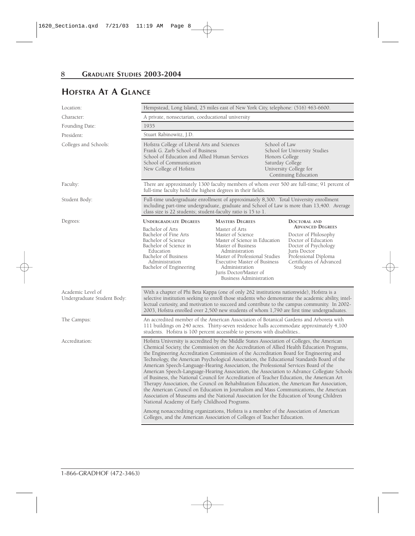# **HOFSTRA AT A GLANCE**

| Location:                                        | Hempstead, Long Island, 25 miles east of New York City, telephone: (516) 463-6600.                                                                                                                                                                                                                                                                                                                                                                                                                                                                                                                                                                                                                                                                                                                                                                                                                                                                                                                                                                                                                                                                                                |                                                                                                                                                                                                                                                                                         |  |                                                                                                                                                                                             |
|--------------------------------------------------|-----------------------------------------------------------------------------------------------------------------------------------------------------------------------------------------------------------------------------------------------------------------------------------------------------------------------------------------------------------------------------------------------------------------------------------------------------------------------------------------------------------------------------------------------------------------------------------------------------------------------------------------------------------------------------------------------------------------------------------------------------------------------------------------------------------------------------------------------------------------------------------------------------------------------------------------------------------------------------------------------------------------------------------------------------------------------------------------------------------------------------------------------------------------------------------|-----------------------------------------------------------------------------------------------------------------------------------------------------------------------------------------------------------------------------------------------------------------------------------------|--|---------------------------------------------------------------------------------------------------------------------------------------------------------------------------------------------|
| Character:                                       | A private, nonsectarian, coeducational university                                                                                                                                                                                                                                                                                                                                                                                                                                                                                                                                                                                                                                                                                                                                                                                                                                                                                                                                                                                                                                                                                                                                 |                                                                                                                                                                                                                                                                                         |  |                                                                                                                                                                                             |
| Founding Date:                                   | 1935                                                                                                                                                                                                                                                                                                                                                                                                                                                                                                                                                                                                                                                                                                                                                                                                                                                                                                                                                                                                                                                                                                                                                                              |                                                                                                                                                                                                                                                                                         |  |                                                                                                                                                                                             |
| President:                                       | Stuart Rabinowitz, J.D.                                                                                                                                                                                                                                                                                                                                                                                                                                                                                                                                                                                                                                                                                                                                                                                                                                                                                                                                                                                                                                                                                                                                                           |                                                                                                                                                                                                                                                                                         |  |                                                                                                                                                                                             |
| Colleges and Schools:                            | School of Law<br>Hofstra College of Liberal Arts and Sciences<br>Frank G. Zarb School of Business<br>School for University Studies<br>School of Education and Allied Human Services<br>Honors College<br>School of Communication<br>Saturday College<br>New College of Hofstra<br>University College for<br>Continuing Education                                                                                                                                                                                                                                                                                                                                                                                                                                                                                                                                                                                                                                                                                                                                                                                                                                                  |                                                                                                                                                                                                                                                                                         |  |                                                                                                                                                                                             |
| Faculty:                                         | There are approximately 1300 faculty members of whom over 500 are full-time; 91 percent of<br>full-time faculty hold the highest degrees in their fields.                                                                                                                                                                                                                                                                                                                                                                                                                                                                                                                                                                                                                                                                                                                                                                                                                                                                                                                                                                                                                         |                                                                                                                                                                                                                                                                                         |  |                                                                                                                                                                                             |
| Student Body:                                    | Full-time undergraduate enrollment of approximately 8,300. Total University enrollment<br>including part-time undergraduate, graduate and School of Law is more than 13,400. Average<br>class size is 22 students; student-faculty ratio is 15 to 1.                                                                                                                                                                                                                                                                                                                                                                                                                                                                                                                                                                                                                                                                                                                                                                                                                                                                                                                              |                                                                                                                                                                                                                                                                                         |  |                                                                                                                                                                                             |
| Degrees:                                         | <b>UNDERGRADUATE DEGREES</b><br>Bachelor of Arts<br>Bachelor of Fine Arts<br>Bachelor of Science<br>Bachelor of Science in<br>Education<br>Bachelor of Business<br>Administration<br>Bachelor of Engineering                                                                                                                                                                                                                                                                                                                                                                                                                                                                                                                                                                                                                                                                                                                                                                                                                                                                                                                                                                      | <b>MASTERS DEGREES</b><br>Master of Arts<br>Master of Science<br>Master of Science in Education<br>Master of Business<br>Administration<br>Master of Professional Studies<br>Executive Master of Business<br>Administration<br>Juris Doctor/Master of<br><b>Business Administration</b> |  | DOCTORAL AND<br><b>ADVANCED DEGREES</b><br>Doctor of Philosophy<br>Doctor of Education<br>Doctor of Psychology<br>Juris Doctor<br>Professional Diploma<br>Certificates of Advanced<br>Study |
| Academic Level of<br>Undergraduate Student Body: | With a chapter of Phi Beta Kappa (one of only 262 institutions nationwide), Hofstra is a<br>selective institution seeking to enroll those students who demonstrate the academic ability, intel-<br>lectual curiosity, and motivation to succeed and contribute to the campus community. In 2002-<br>2003, Hofstra enrolled over 2,500 new students of whom 1,790 are first time undergraduates.                                                                                                                                                                                                                                                                                                                                                                                                                                                                                                                                                                                                                                                                                                                                                                                   |                                                                                                                                                                                                                                                                                         |  |                                                                                                                                                                                             |
| The Campus:                                      | An accredited member of the American Association of Botanical Gardens and Arboreta with<br>111 buildings on 240 acres. Thirty-seven residence halls accommodate approximately 4,100<br>students. Hofstra is 100 percent accessible to persons with disabilities                                                                                                                                                                                                                                                                                                                                                                                                                                                                                                                                                                                                                                                                                                                                                                                                                                                                                                                   |                                                                                                                                                                                                                                                                                         |  |                                                                                                                                                                                             |
| Accreditation:                                   | Hofstra University is accredited by the Middle States Association of Colleges, the American<br>Chemical Society, the Commission on the Accreditation of Allied Health Education Programs,<br>the Engineering Accreditation Commission of the Accreditation Board for Engineering and<br>Technology, the American Psychological Association, the Educational Standards Board of the<br>American Speech-Language-Hearing Association, the Professional Services Board of the<br>American Speech-Language-Hearing Association, the Association to Advance Collegiate Schools<br>of Business, the National Council for Accreditation of Teacher Education, the American Art<br>Therapy Association, the Council on Rehabilitation Education, the American Bar Association,<br>the American Council on Education in Journalism and Mass Communications, the American<br>Association of Museums and the National Association for the Education of Young Children<br>National Academy of Early Childhood Programs.<br>Among nonaccrediting organizations, Hofstra is a member of the Association of American<br>Colleges, and the American Association of Colleges of Teacher Education. |                                                                                                                                                                                                                                                                                         |  |                                                                                                                                                                                             |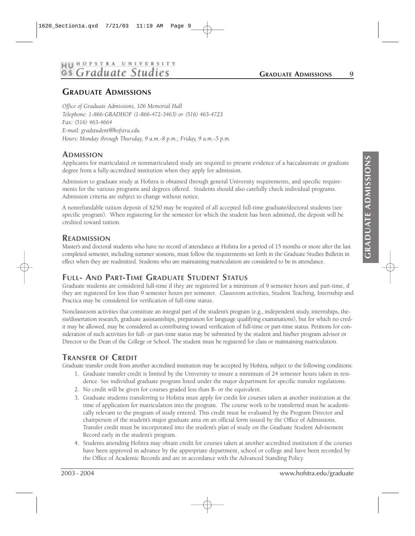#### **HII HOFSTRA UNIVE RSITY** Gs Graduate Stud

**GRADUATE ADMISSIONS 9**

## **GRADUATE ADMISSIONS**

*Office of Graduate Admissions, 106 Memorial Hall Telephone: 1-866-GRADHOF (1-866-472-3463) or (516) 463-4723 Fax: (516) 463-4664 E-mail: gradstudent@hofstra.edu Hours: Monday through Thursday, 9 a.m.-8 p.m.; Friday, 9 a.m.-5 p.m.*

#### **ADMISSION**

Applicants for matriculated or nonmatriculated study are required to present evidence of a baccalaureate or graduate degree from a fully-accredited institution when they apply for admission.

Admission to graduate study at Hofstra is obtained through general University requirements, and specific requirements for the various programs and degrees offered. Students should also carefully check individual programs. Admission criteria are subject to change without notice.

A nonrefundable tuition deposit of \$250 may be required of all accepted full-time graduate/doctoral students (see specific program). When registering for the semester for which the student has been admitted, the deposit will be credited toward tuition.

#### **READMISSION**

Master's and doctoral students who have no record of attendance at Hofstra for a period of 15 months or more after the last completed semester, including summer sessions, must follow the requirements set forth in the Graduate Studies Bulletin in effect when they are readmitted. Students who are maintaining matriculation are considered to be in attendance.

#### **FULL- AND PART-TIME GRADUATE STUDENT STATUS**

Graduate students are considered full-time if they are registered for a minimum of 9 semester hours and part-time, if they are registered for less than 9 semester hours per semester. Classroom activities, Student Teaching, Internship and Practica may be considered for verification of full-time status.

Nonclassroom activities that constitute an integral part of the student's program (e.g., independent study, internships, thesis/dissertation research, graduate assistantships, preparation for language qualifying examinations), but for which no credit may be allowed, may be considered as contributing toward verification of full-time or part-time status. Petitions for consideration of such activities for full- or part-time status may be submitted by the student and his/her program advisor or Director to the Dean of the College or School. The student must be registered for class or maintaining matriculation.

#### **TRANSFER OF CREDIT**

Graduate transfer credit from another accredited institution may be accepted by Hofstra, subject to the following conditions:

- 1. Graduate transfer credit is limited by the University to insure a minimum of 24 semester hours taken in residence. See individual graduate program listed under the major department for specific transfer regulations.
- 2. No credit will be given for courses graded less than B- or the equivalent.
- 3. Graduate students transferring to Hofstra must apply for credit for courses taken at another institution at the time of application for matriculation into the program. The course work to be transferred must be academically relevant to the program of study entered. This credit must be evaluated by the Program Director and chairperson of the student's major graduate area on an official form issued by the Office of Admissions. Transfer credit must be incorporated into the student's plan of study on the Graduate Student Advisement Record early in the student's program.
- 4. Students attending Hofstra may obtain credit for courses taken at another accredited institution if the courses have been approved in advance by the appropriate department, school or college and have been recorded by the Office of Academic Records and are in accordance with the Advanced Standing Policy.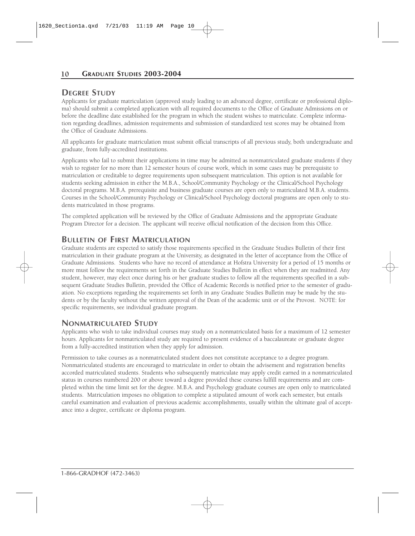#### **DEGREE STUDY**

Applicants for graduate matriculation (approved study leading to an advanced degree, certificate or professional diploma) should submit a completed application with all required documents to the Office of Graduate Admissions on or before the deadline date established for the program in which the student wishes to matriculate. Complete information regarding deadlines, admission requirements and submission of standardized test scores may be obtained from the Office of Graduate Admissions.

All applicants for graduate matriculation must submit official transcripts of all previous study, both undergraduate and graduate, from fully-accredited institutions.

Applicants who fail to submit their applications in time may be admitted as nonmatriculated graduate students if they wish to register for no more than 12 semester hours of course work, which in some cases may be prerequisite to matriculation or creditable to degree requirements upon subsequent matriculation. This option is not available for students seeking admission in either the M.B.A., School/Community Psychology or the Clinical/School Psychology doctoral programs. M.B.A. prerequisite and business graduate courses are open only to matriculated M.B.A. students. Courses in the School/Community Psychology or Clinical/School Psychology doctoral programs are open only to students matriculated in those programs.

The completed application will be reviewed by the Office of Graduate Admissions and the appropriate Graduate Program Director for a decision. The applicant will receive official notification of the decision from this Office.

#### **BULLETIN OF FIRST MATRICULATION**

Graduate students are expected to satisfy those requirements specified in the Graduate Studies Bulletin of their first matriculation in their graduate program at the University, as designated in the letter of acceptance from the Office of Graduate Admissions. Students who have no record of attendance at Hofstra University for a period of 15 months or more must follow the requirements set forth in the Graduate Studies Bulletin in effect when they are readmitted. Any student, however, may elect once during his or her graduate studies to follow all the requirements specified in a subsequent Graduate Studies Bulletin, provided the Office of Academic Records is notified prior to the semester of graduation. No exceptions regarding the requirements set forth in any Graduate Studies Bulletin may be made by the students or by the faculty without the written approval of the Dean of the academic unit or of the Provost. NOTE: for specific requirements, see individual graduate program.

#### **NONMATRICULATED STUDY**

Applicants who wish to take individual courses may study on a nonmatriculated basis for a maximum of 12 semester hours. Applicants for nonmatriculated study are required to present evidence of a baccalaureate or graduate degree from a fully-accredited institution when they apply for admission.

Permission to take courses as a nonmatriculated student does not constitute acceptance to a degree program. Nonmatriculated students are encouraged to matriculate in order to obtain the advisement and registration benefits accorded matriculated students. Students who subsequently matriculate may apply credit earned in a nonmatriculated status in courses numbered 200 or above toward a degree provided these courses fulfill requirements and are completed within the time limit set for the degree. M.B.A. and Psychology graduate courses are open only to matriculated students. Matriculation imposes no obligation to complete a stipulated amount of work each semester, but entails careful examination and evaluation of previous academic accomplishments, usually within the ultimate goal of acceptance into a degree, certificate or diploma program.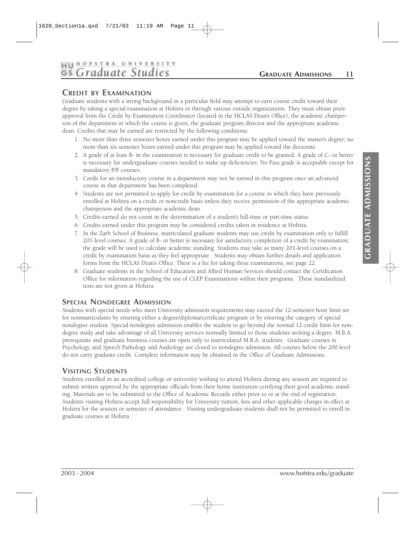# **HII HOFSTRA UNIVERSITY** Gs Graduate Studies

#### **GRADUATE ADMISSIONS 11**

#### **CREDIT BY EXAMINATION**

Graduate students with a strong background in a particular field may attempt to earn course credit toward their degree by taking a special examination at Hofstra or through various outside organizations. They must obtain prior approval from the Credit by Examination Coordinator (located in the HCLAS Dean's Office), the academic chairperson of the department in which the course is given, the graduate program director and the appropriate academic dean. Credits that may be earned are restricted by the following conditions:

- 1. No more than three semester hours earned under this program may be applied toward the master's degree; no more than six semester hours earned under this program may be applied toward the doctorate.
- 2. A grade of at least B- in the examination is necessary for graduate credit to be granted. A grade of C- or better is necessary for undergraduate courses needed to make up deficiencies. No Pass grade is acceptable except for mandatory P/F courses.
- 3. Credit for an introductory course in a department may not be earned in this program once an advanced course in that department has been completed.
- 4. Students are not permitted to apply for credit by examination for a course in which they have previously enrolled at Hofstra on a credit or noncredit basis unless they receive permission of the appropriate academic chairperson and the appropriate academic dean.
- 5. Credits earned do not count in the determination of a student's full-time or part-time status.
- 6. Credits earned under this program may be considered credits taken in residence at Hofstra.
- 7. In the Zarb School of Business, matriculated graduate students may use credit by examination only to fulfill 201-level courses. A grade of B- or better is necessary for satisfactory completion of a credit by examination; the grade will be used to calculate academic standing. Students may take as many 201-level courses on a credit by examination basis as they feel appropriate. Students may obtain further details and application forms from the HCLAS Dean's Office. There is a fee for taking these examinations, see page 22.
- 8. Graduate students in the School of Education and Allied Human Services should contact the Certification Office for information regarding the use of CLEP Examinations within their programs. These standardized tests are not given at Hofstra.

#### **SPECIAL NONDEGREE ADMISSION**

Students with special needs who meet University admission requirements may exceed the 12-semester hour limit set for nonmatriculants by entering either a degree/diploma/certificate program or by entering the category of special nondegree student. Special nondegree admission enables the student to go beyond the normal 12-credit limit for nondegree study and take advantage of all University services normally limited to those students seeking a degree. M.B.A. prerequisite and graduate business courses are open only to matriculated M.B.A. students. Graduate courses in Psychology, and Speech Pathology and Audiology are closed to nondegree admission. All courses below the 200 level do not carry graduate credit. Complete information may be obtained in the Office of Graduate Admissions.

#### **VISITING STUDENTS**

Students enrolled in an accredited college or university wishing to attend Hofstra during any session are required to submit written approval by the appropriate officials from their home institution certifying their good academic standing. Materials are to be submitted to the Office of Academic Records either prior to or at the end of registration. Students visiting Hofstra accept full responsibility for University tuition, fees and other applicable charges in effect at Hofstra for the session or semester of attendance. Visiting undergraduate students shall not be permitted to enroll in graduate courses at Hofstra.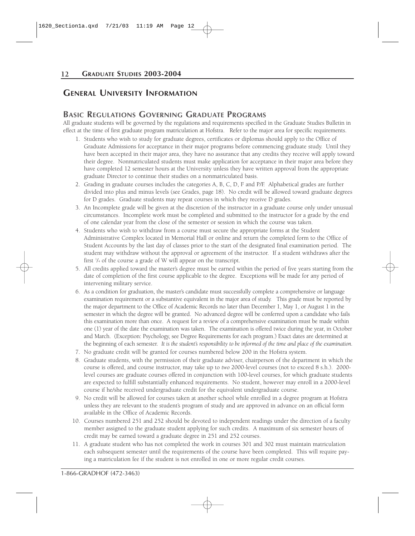#### **GENERAL UNIVERSITY INFORMATION**

#### **BASIC REGULATIONS GOVERNING GRADUATE PROGRAMS**

All graduate students will be governed by the regulations and requirements specified in the Graduate Studies Bulletin in effect at the time of first graduate program matriculation at Hofstra. Refer to the major area for specific requirements.

- 1. Students who wish to study for graduate degrees, certificates or diplomas should apply to the Office of Graduate Admissions for acceptance in their major programs before commencing graduate study. Until they have been accepted in their major area, they have no assurance that any credits they receive will apply toward their degree. Nonmatriculated students must make application for acceptance in their major area before they have completed 12 semester hours at the University unless they have written approval from the appropriate graduate Director to continue their studies on a nonmatriculated basis.
- 2. Grading in graduate courses includes the categories A, B, C, D, F and P/F. Alphabetical grades are further divided into plus and minus levels (see Grades, page 18). No credit will be allowed toward graduate degrees for D grades. Graduate students may repeat courses in which they receive D grades.
- 3. An Incomplete grade will be given at the discretion of the instructor in a graduate course only under unusual circumstances. Incomplete work must be completed and submitted to the instructor for a grade by the end of one calendar year from the close of the semester or session in which the course was taken.
- 4. Students who wish to withdraw from a course must secure the appropriate forms at the Student Administrative Complex located in Memorial Hall or online and return the completed form to the Office of Student Accounts by the last day of classes prior to the start of the designated final examination period. The student may withdraw without the approval or agreement of the instructor. If a student withdraws after the first 1 /4 of the course a grade of W will appear on the transcript.
- 5. All credits applied toward the master's degree must be earned within the period of five years starting from the date of completion of the first course applicable to the degree. Exceptions will be made for any period of intervening military service.
- 6. As a condition for graduation, the master's candidate must successfully complete a comprehensive or language examination requirement or a substantive equivalent in the major area of study. This grade must be reported by the major department to the Office of Academic Records no later than December 1, May 1, or August 1 in the semester in which the degree will be granted. No advanced degree will be conferred upon a candidate who fails this examination more than once. A request for a review of a comprehensive examination must be made within one (1) year of the date the examination was taken. The examination is offered twice during the year, in October and March. (Exception: Psychology, see Degree Requirements for each program.) Exact dates are determined at the beginning of each semester. *It is the student's responsibility to be informed of the time and place of the examination.*
- 7. No graduate credit will be granted for courses numbered below 200 in the Hofstra system.
- 8. Graduate students, with the permission of their graduate adviser, chairperson of the department in which the course is offered, and course instructor, may take up to *two* 2000-level courses (not to exceed 8 s.h.). 2000 level courses are graduate courses offered in conjunction with 100-level courses, for which graduate students are expected to fulfill substantially enhanced requirements. No student, however may enroll in a 2000-level course if he/she received undergraduate credit for the equivalent undergraduate course.
- 9. No credit will be allowed for courses taken at another school while enrolled in a degree program at Hofstra unless they are relevant to the student's program of study and are approved in advance on an official form available in the Office of Academic Records.
- 10. Courses numbered 251 and 252 should be devoted to independent readings under the direction of a faculty member assigned to the graduate student applying for such credits. A maximum of six semester hours of credit may be earned toward a graduate degree in 251 and 252 courses.
- 11. A graduate student who has not completed the work in courses 301 and 302 must maintain matriculation each subsequent semester until the requirements of the course have been completed. This will require paying a matriculation fee if the student is not enrolled in one or more regular credit courses.

1-866-GRADHOF (472-3463)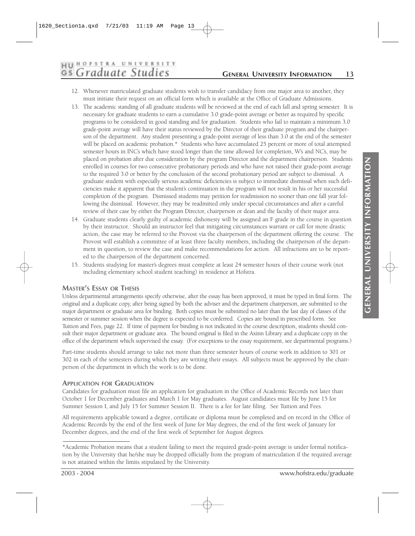#### HUHOFSTRA UNIVERSITY Gs Graduate Studies

#### **GENERAL UNIVERSITY INFORMATION 13**

- 12. Whenever matriculated graduate students wish to transfer candidacy from one major area to another, they must initiate their request on an official form which is available at the Office of Graduate Admissions.
- 13. The academic standing of all graduate students will be reviewed at the end of each fall and spring semester. It is necessary for graduate students to earn a cumulative 3.0 grade-point average or better as required by specific programs to be considered in good standing and for graduation. Students who fail to maintain a minimum 3.0 grade-point average will have their status reviewed by the Director of their graduate program and the chairperson of the department. Any student presenting a grade-point average of less than 3.0 at the end of the semester will be placed on academic probation.\* Students who have accumulated 25 percent or more of total attempted semester hours in INC's which have stood longer than the time allowed for completion, W's and NC's, may be placed on probation after due consideration by the program Director and the department chairperson. Students enrolled in courses for two consecutive probationary periods and who have not raised their grade-point average to the required 3.0 or better by the conclusion of the second probationary period are subject to dismissal. A graduate student with especially serious academic deficiencies is subject to immediate dismissal when such deficiencies make it apparent that the student's continuation in the program will not result in his or her successful completion of the program. Dismissed students may petition for readmission no sooner than one fall year following the dismissal. However, they may be readmitted only under special circumstances and after a careful review of their case by either the Program Director, chairperson or dean and the faculty of their major area.
- 14. Graduate students clearly guilty of academic dishonesty will be assigned an F grade in the course in question by their instructor. Should an instructor feel that mitigating circumstances warrant or call for more drastic action, the case may be referred to the Provost via the chairperson of the department offering the course. The Provost will establish a committee of at least three faculty members, including the chairperson of the department in question, to review the case and make recommendations for action. All infractions are to be reported to the chairperson of the department concerned.
- 15. Students studying for master's degrees must complete at least 24 semester hours of their course work (not including elementary school student teaching) in residence at Hofstra.

#### **MASTER'S ESSAY OR THESIS**

Unless departmental arrangements specify otherwise, after the essay has been approved, it must be typed in final form. The original and a duplicate copy, after being signed by both the adviser and the department chairperson, are submitted to the major department or graduate area for binding. Both copies must be submitted no later than the last day of classes of the semester or summer session when the degree is expected to be conferred. Copies are bound in prescribed form. See Tuition and Fees, page 22. If time of payment for binding is not indicated in the course description, students should consult their major department or graduate area. The bound original is filed in the Axinn Library and a duplicate copy in the office of the department which supervised the essay. (For exceptions to the essay requirement, see departmental programs.)

Part-time students should arrange to take not more than three semester hours of course work in addition to 301 or 302 in each of the semesters during which they are writing their essays. All subjects must be approved by the chairperson of the department in which the work is to be done.

#### **APPLICATION FOR GRADUATION**

Candidates for graduation must file an application for graduation in the Office of Academic Records not later than October 1 for December graduates and March 1 for May graduates. August candidates must file by June 15 for Summer Session I, and July 15 for Summer Session II. There is a fee for late filing. See Tuition and Fees.

All requirements applicable toward a degree, certificate or diploma must be completed and on record in the Office of Academic Records by the end of the first week of June for May degrees, the end of the first week of January for December degrees, and the end of the first week of September for August degrees.

<sup>\*</sup>Academic Probation means that a student failing to meet the required grade-point average is under formal notification by the University that he/she may be dropped officially from the program of matriculation if the required average is not attained within the limits stipulated by the University.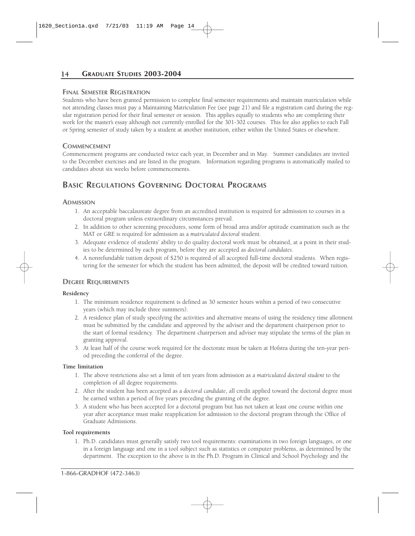#### **FINAL SEMESTER REGISTRATION**

Students who have been granted permission to complete final semester requirements and maintain matriculation while not attending classes must pay a Maintaining Matriculation Fee (see page 21) and file a registration card during the regular registration period for their final semester or session. This applies equally to students who are completing their work for the master's essay although not currently enrolled for the 301-302 courses. This fee also applies to each Fall or Spring semester of study taken by a student at another institution, either within the United States or elsewhere.

#### **COMMENCEMENT**

Commencement programs are conducted twice each year, in December and in May. Summer candidates are invited to the December exercises and are listed in the program. Information regarding programs is automatically mailed to candidates about six weeks before commencements.

## **BASIC REGULATIONS GOVERNING DOCTORAL PROGRAMS**

#### **ADMISSION**

- 1. An acceptable baccalaureate degree from an accredited institution is required for admission to courses in a doctoral program unless extraordinary circumstances prevail.
- 2. In addition to other screening procedures, some form of broad area and/or aptitude examination such as the MAT or GRE is required for admission as a *matriculated doctoral* student.
- 3. Adequate evidence of students' ability to do quality doctoral work must be obtained, at a point in their studies to be determined by each program, before they are accepted as *doctoral candidates*.
- 4. A nonrefundable tuition deposit of \$250 is required of all accepted full-time doctoral students. When registering for the semester for which the student has been admitted, the deposit will be credited toward tuition.

#### **DEGREE REQUIREMENTS**

#### **Residency**

- 1. The minimum residence requirement is defined as 30 semester hours within a period of two consecutive years (which may include three summers).
- 2. A residence plan of study specifying the activities and alternative means of using the residency time allotment must be submitted by the candidate and approved by the adviser and the department chairperson prior to the start of formal residency. The department chairperson and adviser may stipulate the terms of the plan in granting approval.
- 3. At least half of the course work required for the doctorate must be taken at Hofstra during the ten-year period preceding the conferral of the degree.

#### **Time limitation**

- 1. The above restrictions also set a limit of ten years from admission as a *matriculated doctoral student* to the completion of all degree requirements.
- 2. After the student has been accepted as a *doctoral candidate*, all credit applied toward the doctoral degree must be earned within a period of five years preceding the granting of the degree.
- 3. A student who has been accepted for a doctoral program but has not taken at least one course within one year after acceptance must make reapplication for admission to the doctoral program through the Office of Graduate Admissions.

#### **Tool requirements**

1. Ph.D. candidates must generally satisfy two tool requirements: examinations in two foreign languages, or one in a foreign language and one in a tool subject such as statistics or computer problems, as determined by the department. The exception to the above is in the Ph.D. Program in Clinical and School Psychology and the

1-866-GRADHOF (472-3463)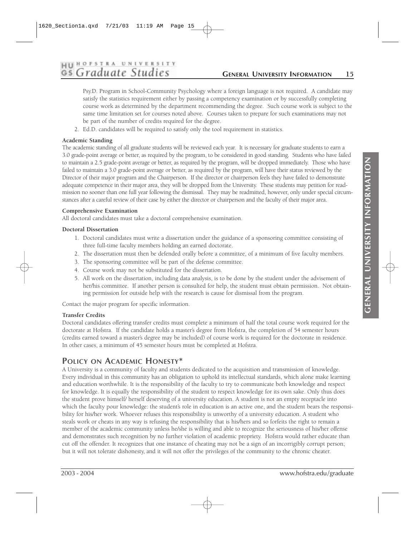# **HII HOFSTRA UNIVERSITY** Gs Graduate Studies

#### **GENERAL UNIVERSITY INFORMATION 15**

Psy.D. Program in School-Community Psychology where a foreign language is not required. A candidate may satisfy the statistics requirement either by passing a competency examination or by successfully completing course work as determined by the department recommending the degree. Such course work is subject to the same time limitation set for courses noted above. Courses taken to prepare for such examinations may not be part of the number of credits required for the degree.

2. Ed.D. candidates will be required to satisfy only the tool requirement in statistics.

#### **Academic Standing**

The academic standing of all graduate students will be reviewed each year. It is necessary for graduate students to earn a 3.0 grade-point average or better, as required by the program, to be considered in good standing. Students who have failed to maintain a 2.5 grade-point average or better, as required by the program, will be dropped immediately. Those who have failed to maintain a 3.0 grade-point average or better, as required by the program, will have their status reviewed by the Director of their major program and the Chairperson. If the director or chairperson feels they have failed to demonstrate adequate competence in their major area, they will be dropped from the University. These students may petition for readmission no sooner than one full year following the dismissal. They may be readmitted, however, only under special circumstances after a careful review of their case by either the director or chairperson and the faculty of their major area.

#### **Comprehensive Examination**

All doctoral candidates must take a doctoral comprehensive examination.

#### **Doctoral Dissertation**

- 1. Doctoral candidates must write a dissertation under the guidance of a sponsoring committee consisting of three full-time faculty members holding an earned doctorate.
- 2. The dissertation must then be defended orally before a committee, of a minimum of five faculty members.
- 3. The sponsoring committee will be part of the defense committee.
- 4. Course work may not be substituted for the dissertation.
- 5. All work on the dissertation, including data analysis, is to be done by the student under the advisement of her/his committee. If another person is consulted for help, the student must obtain permission. Not obtaining permission for outside help with the research is cause for dismissal from the program.

Contact the major program for specific information.

#### **Transfer Credits**

Doctoral candidates offering transfer credits must complete a minimum of half the total course work required for the doctorate at Hofstra. If the candidate holds a master's degree from Hofstra, the completion of 54 semester hours (credits earned toward a master's degree may be included) of course work is required for the doctorate in residence. In other cases, a minimum of 45 semester hours must be completed at Hofstra.

#### **POLICY ON ACADEMIC HONESTY\***

A University is a community of faculty and students dedicated to the acquisition and transmission of knowledge. Every individual in this community has an obligation to uphold its intellectual standards, which alone make learning and education worthwhile. It is the responsibility of the faculty to try to communicate both knowledge and respect for knowledge. It is equally the responsibility of the student to respect knowledge for its own sake. Only thus does the student prove himself/ herself deserving of a university education. A student is not an empty receptacle into which the faculty pour knowledge: the student's role in education is an active one, and the student bears the responsibility for his/her work. Whoever refuses this responsibility is unworthy of a university education. A student who steals work or cheats in any way is refusing the responsibility that is his/hers and so forfeits the right to remain a member of the academic community unless he/she is willing and able to recognize the seriousness of his/her offense and demonstrates such recognition by no further violation of academic propriety. Hofstra would rather educate than cut off the offender. It recognizes that one instance of cheating may not be a sign of an incorrigibly corrupt person; but it will not tolerate dishonesty, and it will not offer the privileges of the community to the chronic cheater.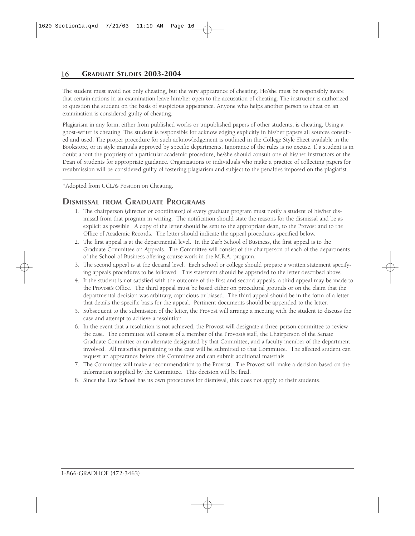The student must avoid not only cheating, but the very appearance of cheating. He/she must be responsibly aware that certain actions in an examination leave him/her open to the accusation of cheating. The instructor is authorized to question the student on the basis of suspicious appearance. Anyone who helps another person to cheat on an examination is considered guilty of cheating.

Plagiarism in any form, either from published works or unpublished papers of other students, is cheating. Using a ghost-writer is cheating. The student is responsible for acknowledging explicitly in his/her papers all sources consulted and used. The proper procedure for such acknowledgement is outlined in the College Style Sheet available in the Bookstore, or in style manuals approved by specific departments. Ignorance of the rules is no excuse. If a student is in doubt about the propriety of a particular academic procedure, he/she should consult one of his/her instructors or the Dean of Students for appropriate guidance. Organizations or individuals who make a practice of collecting papers for resubmission will be considered guilty of fostering plagiarism and subject to the penalties imposed on the plagiarist.

\*Adopted from UCLA's Position on Cheating.

\_\_\_\_\_\_\_\_\_\_\_\_\_\_\_\_\_\_\_

#### **DISMISSAL FROM GRADUATE PROGRAMS**

- 1. The chairperson (director or coordinator) of every graduate program must notify a student of his/her dismissal from that program in writing. The notification should state the reasons for the dismissal and be as explicit as possible. A copy of the letter should be sent to the appropriate dean, to the Provost and to the Office of Academic Records. The letter should indicate the appeal procedures specified below.
- 2. The first appeal is at the departmental level. In the Zarb School of Business, the first appeal is to the Graduate Committee on Appeals. The Committee will consist of the chairperson of each of the departments of the School of Business offering course work in the M.B.A. program.
- 3. The second appeal is at the decanal level. Each school or college should prepare a written statement specifying appeals procedures to be followed. This statement should be appended to the letter described above.
- 4. If the student is not satisfied with the outcome of the first and second appeals, a third appeal may be made to the Provost's Office. The third appeal must be based either on procedural grounds or on the claim that the departmental decision was arbitrary, capricious or biased. The third appeal should be in the form of a letter that details the specific basis for the appeal. Pertinent documents should be appended to the letter.
- 5. Subsequent to the submission of the letter, the Provost will arrange a meeting with the student to discuss the case and attempt to achieve a resolution.
- 6. In the event that a resolution is not achieved, the Provost will designate a three-person committee to review the case. The committee will consist of a member of the Provost's staff, the Chairperson of the Senate Graduate Committee or an alternate designated by that Committee, and a faculty member of the department involved. All materials pertaining to the case will be submitted to that Committee. The affected student can request an appearance before this Committee and can submit additional materials.
- 7. The Committee will make a recommendation to the Provost. The Provost will make a decision based on the information supplied by the Committee. This decision will be final.
- 8. Since the Law School has its own procedures for dismissal, this does not apply to their students.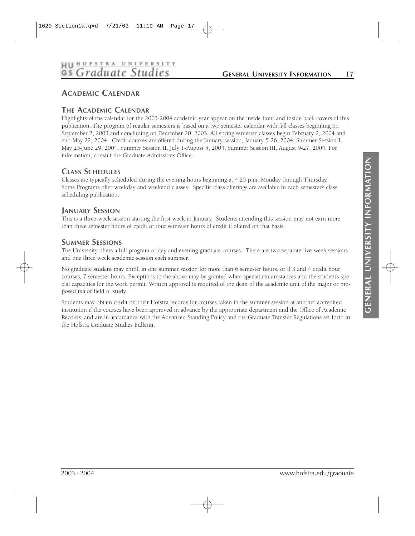# HU HOFSTRA UNIVERSITY

#### **GENERAL UNIVERSITY INFORMATION 17**

## **ACADEMIC CALENDAR**

#### **THE ACADEMIC CALENDAR**

Highlights of the calendar for the 2003-2004 academic year appear on the inside front and inside back covers of this publication. The program of regular semesters is based on a two semester calendar with fall classes beginning on September 2, 2003 and concluding on December 20, 2003. All spring semester classes begin February 2, 2004 and end May 22, 2004. Credit courses are offered during the January session, January 5-26, 2004, Summer Session I, May 25-June 29, 2004, Summer Session II, July 1-August 5, 2004, Summer Session III, August 9-27, 2004. For information, consult the Graduate Admissions Office.

#### **CLASS SCHEDULES**

Classes are typically scheduled during the evening hours beginning at 4:25 p.m. Monday through Thursday. Some Programs offer weekday and weekend classes. Specific class offerings are available in each semester's class scheduling publication.

#### **JANUARY SESSION**

This is a three-week session starting the first week in January. Students attending this session may not earn more than three semester hours of credit or four semester hours of credit if offered on that basis.

#### **SUMMER SESSIONS**

The University offers a full program of day and evening graduate courses. There are two separate five-week sessions and one three week academic session each summer.

No graduate student may enroll in one summer session for more than 6 semester hours, or if 3 and 4 credit hour courses, 7 semester hours. Exceptions to the above may be granted when special circumstances and the student's special capacities for the work permit. Written approval is required of the dean of the academic unit of the major or proposed major field of study.

Students may obtain credit on their Hofstra records for courses taken in the summer session at another accredited institution if the courses have been approved in advance by the appropriate department and the Office of Academic Records, and are in accordance with the Advanced Standing Policy and the Graduate Transfer Regulations set forth in the Hofstra Graduate Studies Bulletin.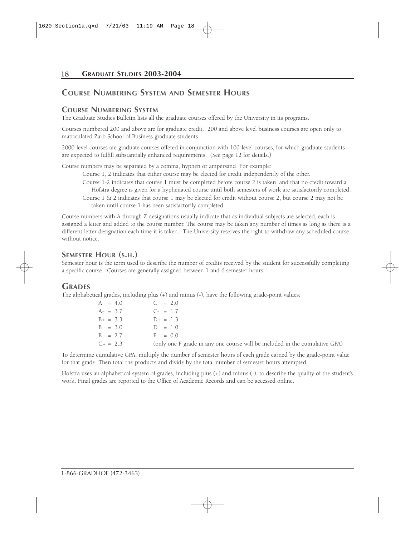#### **COURSE NUMBERING SYSTEM AND SEMESTER HOURS**

#### **COURSE NUMBERING SYSTEM**

The Graduate Studies Bulletin lists all the graduate courses offered by the University in its programs.

Courses numbered 200 and above are for graduate credit. 200 and above level business courses are open only to matriculated Zarb School of Business graduate students.

2000-level courses are graduate courses offered in conjunction with 100-level courses, for which graduate students are expected to fulfill substantially enhanced requirements. (See page 12 for details.)

Course numbers may be separated by a comma, hyphen or ampersand. For example:

Course 1, 2 indicates that either course may be elected for credit independently of the other.

- Course 1-2 indicates that course 1 must be completed before course 2 is taken, and that no credit toward a Hofstra degree is given for a hyphenated course until both semesters of work are satisfactorily completed. Course  $1 \& 2$  indicates that course  $1$  may be elected for credit without course  $2$ , but course  $2$  may not be
- taken until course 1 has been satisfactorily completed.

Course numbers with A through Z designations usually indicate that as individual subjects are selected, each is assigned a letter and added to the course number. The course may be taken any number of times as long as there is a different letter designation each time it is taken. The University reserves the right to withdraw any scheduled course without notice.

#### **SEMESTER HOUR (S.H.)**

Semester hour is the term used to describe the number of credits received by the student for successfully completing a specific course. Courses are generally assigned between 1 and 6 semester hours.

#### **GRADES**

The alphabetical grades, including plus (+) and minus (-), have the following grade-point values:

| $A = 4.0$     | $C = 2.0$                                                                   |
|---------------|-----------------------------------------------------------------------------|
| $A- = 3.7$    | $C_{\tau} = 1.7$                                                            |
| $B_+ = 3.3$   | $D_{+} = 1.3$                                                               |
| $B = 3.0$     | $D = 1.0$                                                                   |
| $B = 27$      | $F = 0.0$                                                                   |
| $C_{+} = 2.3$ | (only one F grade in any one course will be included in the cumulative GPA) |

To determine cumulative GPA, multiply the number of semester hours of each grade earned by the grade-point value for that grade. Then total the products and divide by the total number of semester hours attempted.

Hofstra uses an alphabetical system of grades, including plus (+) and minus (-), to describe the quality of the student's work. Final grades are reported to the Office of Academic Records and can be accessed online.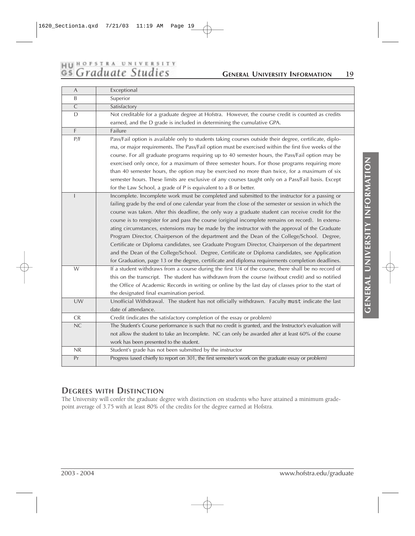# HU HOFSTRA UNIVERSITY<br>GS Graduate Studies

# **GENERAL UNIVERSITY INFORMATION 19**

| A              | Exceptional                                                                                              |
|----------------|----------------------------------------------------------------------------------------------------------|
| B              | Superior                                                                                                 |
| $\overline{C}$ | Satisfactory                                                                                             |
| D              | Not creditable for a graduate degree at Hofstra. However, the course credit is counted as credits        |
|                | earned, and the D grade is included in determining the cumulative GPA.                                   |
| F              | Failure                                                                                                  |
| P/F            | Pass/Fail option is available only to students taking courses outside their degree, certificate, diplo-  |
|                | ma, or major requirements. The Pass/Fail option must be exercised within the first five weeks of the     |
|                | course. For all graduate programs requiring up to 40 semester hours, the Pass/Fail option may be         |
|                | exercised only once, for a maximum of three semester hours. For those programs requiring more            |
|                | than 40 semester hours, the option may be exercised no more than twice, for a maximum of six             |
|                | semester hours. These limits are exclusive of any courses taught only on a Pass/Fail basis. Except       |
|                | for the Law School, a grade of P is equivalent to a B or better.                                         |
| ı              | Incomplete. Incomplete work must be completed and submitted to the instructor for a passing or           |
|                | failing grade by the end of one calendar year from the close of the semester or session in which the     |
|                | course was taken. After this deadline, the only way a graduate student can receive credit for the        |
|                | course is to reregister for and pass the course (original incomplete remains on record). In extenu-      |
|                | ating circumstances, extensions may be made by the instructor with the approval of the Graduate          |
|                | Program Director, Chairperson of the department and the Dean of the College/School. Degree,              |
|                | Certificate or Diploma candidates, see Graduate Program Director, Chairperson of the department          |
|                | and the Dean of the College/School. Degree, Certificate or Diploma candidates, see Application           |
|                | for Graduation, page 13 or the degree, certificate and diploma requirements completion deadlines.        |
| W              | If a student withdraws from a course during the first 1/4 of the course, there shall be no record of     |
|                | this on the transcript. The student has withdrawn from the course (without credit) and so notified       |
|                | the Office of Academic Records in writing or online by the last day of classes prior to the start of     |
|                | the designated final examination period.                                                                 |
| UW             | Unofficial Withdrawal. The student has not officially withdrawn. Faculty must indicate the last          |
|                | date of attendance.                                                                                      |
| CR             | Credit (indicates the satisfactory completion of the essay or problem)                                   |
| NC             | The Student's Course performance is such that no credit is granted, and the Instructor's evaluation will |
|                | not allow the student to take an Incomplete. NC can only be awarded after at least 60% of the course     |
|                | work has been presented to the student.                                                                  |
| NR             | Student's grade has not been submitted by the instructor                                                 |
| Pr             | Progress (used chiefly to report on 301, the first semester's work on the graduate essay or problem)     |

## **DEGREES WITH DISTINCTION**

The University will confer the graduate degree with distinction on students who have attained a minimum gradepoint average of 3.75 with at least 80% of the credits for the degree earned at Hofstra.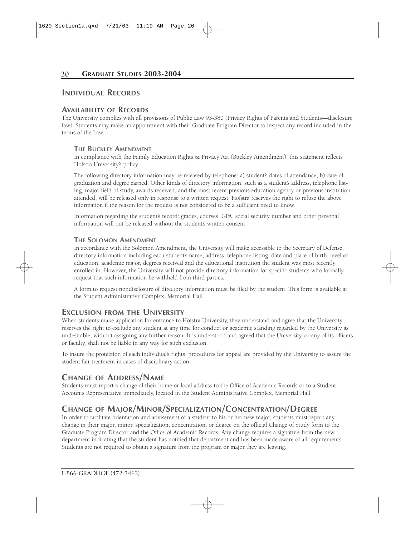#### **INDIVIDUAL RECORDS**

#### **AVAILABILITY OF RECORDS**

The University complies with all provisions of Public Law 93-380 (Privacy Rights of Parents and Students—disclosure law). Students may make an appointment with their Graduate Program Director to inspect any record included in the terms of the Law.

#### **THE BUCKLEY AMENDMENT**

In compliance with the Family Education Rights & Privacy Act (Buckley Amendment), this statement reflects Hofstra University's policy.

The following directory information may be released by telephone: a) student's dates of attendance; b) date of graduation and degree earned. Other kinds of directory information, such as a student's address, telephone listing, major field of study, awards received, and the most recent previous education agency or previous institution attended, will be released only in response to a written request. Hofstra reserves the right to refuse the above information if the reason for the request is not considered to be a sufficient need to know.

Information regarding the student's record: grades, courses, GPA, social security number and other personal information will not be released without the student's written consent.

#### **THE SOLOMON AMENDMENT**

In accordance with the Solomon Amendment, the University will make accessible to the Secretary of Defense, directory information including each student's name, address, telephone listing, date and place of birth, level of education, academic major, degrees received and the educational institution the student was most recently enrolled in. However, the University will not provide directory information for specific students who formally request that such information be withheld from third parties.

A form to request nondisclosure of directory information must be filed by the student. This form is available at the Student Administrative Complex, Memorial Hall.

#### **EXCLUSION FROM THE UNIVERSITY**

When students make application for entrance to Hofstra University, they understand and agree that the University reserves the right to exclude any student at any time for conduct or academic standing regarded by the University as undesirable, without assigning any further reason. It is understood and agreed that the University, or any of its officers or faculty, shall not be liable in any way for such exclusion.

To insure the protection of each individual's rights, procedures for appeal are provided by the University to assure the student fair treatment in cases of disciplinary action.

#### **CHANGE OF ADDRESS/NAME**

Students must report a change of their home or local address to the Office of Academic Records or to a Student Accounts Representative immediately, located in the Student Administrative Complex, Memorial Hall.

#### **CHANGE OF MAJOR/MINOR/SPECIALIZATION/CONCENTRATION/DEGREE**

In order to facilitate orientation and advisement of a student to his or her new major, students must report any change in their major, minor, specialization, concentration, or degree on the official Change of Study form to the Graduate Program Director and the Office of Academic Records. Any change requires a signature from the new department indicating that the student has notified that department and has been made aware of all requirements. Students are not required to obtain a signature from the program or major they are leaving.

1-866-GRADHOF (472-3463)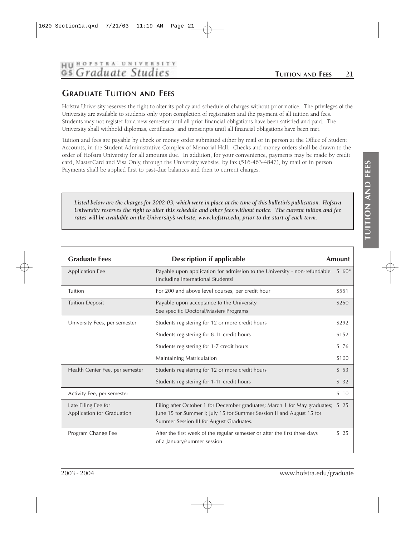# HU BOFSTRA UNIVERSITY

## **GRADUATE TUITION AND FEES**

Hofstra University reserves the right to alter its policy and schedule of charges without prior notice. The privileges of the University are available to students only upon completion of registration and the payment of all tuition and fees. Students may not register for a new semester until all prior financial obligations have been satisfied and paid. The University shall withhold diplomas, certificates, and transcripts until all financial obligations have been met.

Tuition and fees are payable by check or money order submitted either by mail or in person at the Office of Student Accounts, in the Student Administrative Complex of Memorial Hall. Checks and money orders shall be drawn to the order of Hofstra University for all amounts due. In addition, for your convenience, payments may be made by credit card, MasterCard and Visa Only, through the University website, by fax (516-463-4847), by mail or in person. Payments shall be applied first to past-due balances and then to current charges.

*Listed below are the charges for 2002-03, which were in place at the time of this bulletin's publication. Hofstra University reserves the right to alter this schedule and other fees without notice. The current tuition and fee rates will be available on the University's website, www.hofstra.edu, prior to the start of each term.*

| <b>Graduate Fees</b>                              | <b>Description if applicable</b>                                                                                                                                                                     | Amount |
|---------------------------------------------------|------------------------------------------------------------------------------------------------------------------------------------------------------------------------------------------------------|--------|
| <b>Application Fee</b>                            | Payable upon application for admission to the University - non-refundable<br>(including International Students)                                                                                      | $$60*$ |
| Tuition                                           | For 200 and above level courses, per credit hour                                                                                                                                                     | \$551  |
| <b>Tuition Deposit</b>                            | Payable upon acceptance to the University<br>See specific Doctoral/Masters Programs                                                                                                                  | \$250  |
| University Fees, per semester                     | Students registering for 12 or more credit hours                                                                                                                                                     | \$292  |
|                                                   | Students registering for 8-11 credit hours                                                                                                                                                           | \$152  |
|                                                   | Students registering for 1-7 credit hours                                                                                                                                                            | \$76   |
|                                                   | Maintaining Matriculation                                                                                                                                                                            | \$100  |
| Health Center Fee, per semester                   | Students registering for 12 or more credit hours                                                                                                                                                     | \$53   |
|                                                   | Students registering for 1-11 credit hours                                                                                                                                                           | \$32   |
| Activity Fee, per semester                        |                                                                                                                                                                                                      | \$10   |
| Late Filing Fee for<br>Application for Graduation | Filing after October 1 for December graduates; March 1 for May graduates; \$ 25<br>June 15 for Summer I; July 15 for Summer Session II and August 15 for<br>Summer Session III for August Graduates. |        |
| Program Change Fee                                | After the first week of the regular semester or after the first three days<br>of a January/summer session                                                                                            | \$25   |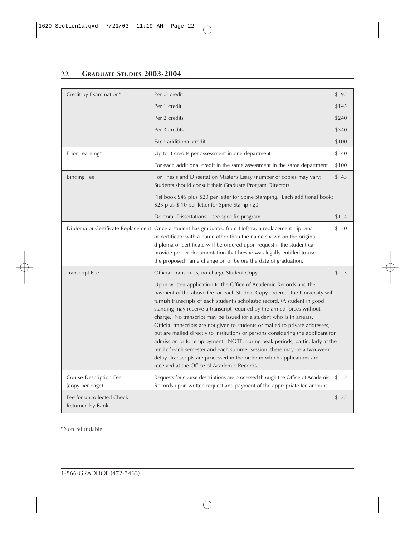| Credit by Examination*                        | Per .5 credit                                                                                                                                                                                                                                                                                                                                                                                                                                                                                                                                                                                                                                                                                                                                                                                                                               | \$95                 |
|-----------------------------------------------|---------------------------------------------------------------------------------------------------------------------------------------------------------------------------------------------------------------------------------------------------------------------------------------------------------------------------------------------------------------------------------------------------------------------------------------------------------------------------------------------------------------------------------------------------------------------------------------------------------------------------------------------------------------------------------------------------------------------------------------------------------------------------------------------------------------------------------------------|----------------------|
|                                               | Per 1 credit                                                                                                                                                                                                                                                                                                                                                                                                                                                                                                                                                                                                                                                                                                                                                                                                                                | \$145                |
|                                               | Per 2 credits                                                                                                                                                                                                                                                                                                                                                                                                                                                                                                                                                                                                                                                                                                                                                                                                                               | \$240                |
|                                               | Per 3 credits                                                                                                                                                                                                                                                                                                                                                                                                                                                                                                                                                                                                                                                                                                                                                                                                                               | \$340                |
|                                               | Each additional credit                                                                                                                                                                                                                                                                                                                                                                                                                                                                                                                                                                                                                                                                                                                                                                                                                      | \$100                |
| Prior Learning*                               | Up to 3 credits per assessment in one department                                                                                                                                                                                                                                                                                                                                                                                                                                                                                                                                                                                                                                                                                                                                                                                            | \$340                |
|                                               | For each additional credit in the same assessment in the same department                                                                                                                                                                                                                                                                                                                                                                                                                                                                                                                                                                                                                                                                                                                                                                    | \$100                |
| <b>Binding Fee</b>                            | For Thesis and Dissertation Master's Essay (number of copies may vary;<br>Students should consult their Graduate Program Director)                                                                                                                                                                                                                                                                                                                                                                                                                                                                                                                                                                                                                                                                                                          | \$45                 |
|                                               | (1st book \$45 plus \$20 per letter for Spine Stamping. Each additional book:<br>\$25 plus \$.10 per letter for Spine Stamping.)                                                                                                                                                                                                                                                                                                                                                                                                                                                                                                                                                                                                                                                                                                            |                      |
|                                               | Doctoral Dissertations – see specific program                                                                                                                                                                                                                                                                                                                                                                                                                                                                                                                                                                                                                                                                                                                                                                                               | \$124                |
|                                               | Diploma or Certificate Replacement Once a student has graduated from Hofstra, a replacement diploma<br>or certificate with a name other than the name shown on the original<br>diploma or certificate will be ordered upon request if the student can<br>provide proper documentation that he/she was legally entitled to use<br>the proposed name change on or before the date of graduation.                                                                                                                                                                                                                                                                                                                                                                                                                                              | \$30                 |
| <b>Transcript Fee</b>                         | Official Transcripts, no charge Student Copy                                                                                                                                                                                                                                                                                                                                                                                                                                                                                                                                                                                                                                                                                                                                                                                                | \$<br>$\overline{3}$ |
|                                               | Upon written application to the Office of Academic Records and the<br>payment of the above fee for each Student Copy ordered, the University will<br>furnish transcripts of each student's scholastic record. (A student in good<br>standing may receive a transcript required by the armed forces without<br>charge.) No transcript may be issued for a student who is in arrears.<br>Official transcripts are not given to students or mailed to private addresses,<br>but are mailed directly to institutions or persons considering the applicant for<br>admission or for employment. NOTE: during peak periods, particularly at the<br>end of each semester and each summer session, there may be a two-week<br>delay. Transcripts are processed in the order in which applications are<br>received at the Office of Academic Records. |                      |
| Course Description Fee                        | Requests for course descriptions are processed through the Office of Academic                                                                                                                                                                                                                                                                                                                                                                                                                                                                                                                                                                                                                                                                                                                                                               | 2<br>\$              |
| (copy per page)                               | Records upon written request and payment of the appropriate fee amount.                                                                                                                                                                                                                                                                                                                                                                                                                                                                                                                                                                                                                                                                                                                                                                     |                      |
| Fee for uncollected Check<br>Returned by Bank |                                                                                                                                                                                                                                                                                                                                                                                                                                                                                                                                                                                                                                                                                                                                                                                                                                             | \$25                 |

\*Non refundable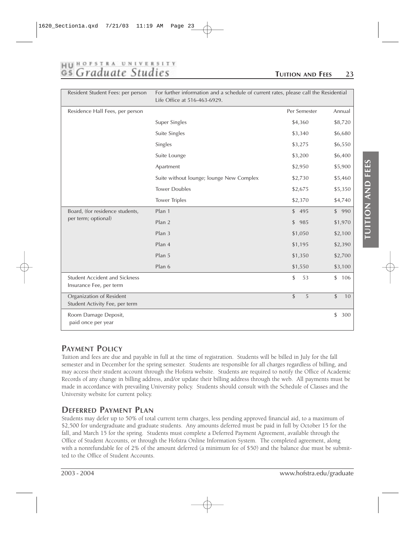# HU HOFSTRA UNIVERSITY

#### **TUITION AND FEES 23**

| Resident Student Fees: per person                               | For further information and a schedule of current rates, please call the Residential<br>Life Office at 516-463-6929. |              |                      |
|-----------------------------------------------------------------|----------------------------------------------------------------------------------------------------------------------|--------------|----------------------|
| Residence Hall Fees, per person                                 |                                                                                                                      | Per Semester | Annual               |
|                                                                 | Super Singles                                                                                                        | \$4,360      | \$8,720              |
|                                                                 | Suite Singles                                                                                                        | \$3,340      | \$6,680              |
|                                                                 | Singles                                                                                                              | \$3,275      | \$6,550              |
|                                                                 | Suite Lounge                                                                                                         | \$3,200      | \$6,400              |
|                                                                 | Apartment                                                                                                            | \$2,950      | \$5,900              |
|                                                                 | Suite without lounge; lounge New Complex                                                                             | \$2,730      | \$5,460              |
|                                                                 | <b>Tower Doubles</b>                                                                                                 | \$2,675      | \$5,350              |
|                                                                 | <b>Tower Triples</b>                                                                                                 | \$2,370      | \$4,740              |
| Board, (for residence students,                                 | Plan 1                                                                                                               | \$495        | \$990                |
| per term; optional)                                             | Plan 2                                                                                                               | \$<br>985    | \$1,970              |
|                                                                 | Plan 3                                                                                                               | \$1,050      | \$2,100              |
|                                                                 | Plan 4                                                                                                               | \$1,195      | \$2,390              |
|                                                                 | Plan 5                                                                                                               | \$1,350      | \$2,700              |
|                                                                 | Plan 6                                                                                                               | \$1,550      | \$3,100              |
| <b>Student Accident and Sickness</b><br>Insurance Fee, per term |                                                                                                                      | \$<br>53     | $\mathsf{\$}$<br>106 |
| Organization of Resident<br>Student Activity Fee, per term      |                                                                                                                      | \$<br>5      | $\mathsf{\$}$<br>10  |
| Room Damage Deposit,<br>paid once per year                      |                                                                                                                      |              | \$<br>300            |

#### **PAYMENT POLICY**

Tuition and fees are due and payable in full at the time of registration. Students will be billed in July for the fall semester and in December for the spring semester. Students are responsible for all charges regardless of billing, and may access their student account through the Hofstra website. Students are required to notify the Office of Academic Records of any change in billing address, and/or update their billing address through the web. All payments must be made in accordance with prevailing University policy. Students should consult with the Schedule of Classes and the University website for current policy.

## **DEFERRED PAYMENT PLAN**

Students may defer up to 50% of total current term charges, less pending approved financial aid, to a maximum of \$2,500 for undergraduate and graduate students. Any amounts deferred must be paid in full by October 15 for the fall, and March 15 for the spring. Students must complete a Deferred Payment Agreement, available through the Office of Student Accounts, or through the Hofstra Online Information System. The completed agreement, along with a nonrefundable fee of 2% of the amount deferred (a minimum fee of \$50) and the balance due must be submitted to the Office of Student Accounts.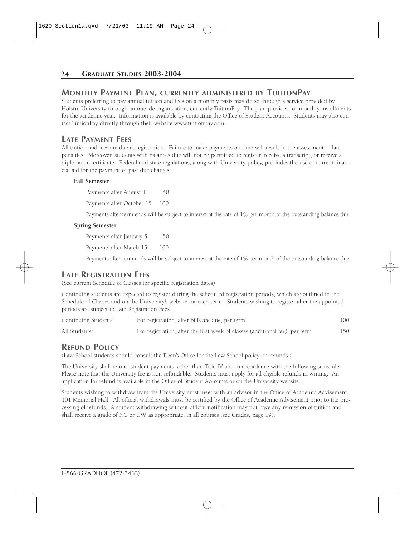#### **MONTHLY PAYMENT PLAN, CURRENTLY ADMINISTERED BY TUITIONPAY**

Students preferring to pay annual tuition and fees on a monthly basis may do so through a service provided by Hofstra University through an outside organization, currently TuitionPay. The plan provides for monthly installments for the academic year. Information is available by contacting the Office of Student Accounts. Students may also contact TuitionPay directly through their website www.tuitionpay.com.

#### **LATE PAYMENT FEES**

All tuition and fees are due at registration. Failure to make payments on time will result in the assessment of late penalties. Moreover, students with balances due will not be permitted to register, receive a transcript, or receive a diploma or certificate. Federal and state regulations, along with University policy, precludes the use of current financial aid for the payment of past due charges.

#### **Fall Semester**

Payments after August 1 50

Payments after October 15 100

Payments after term ends will be subject to interest at the rate of 1% per month of the outstanding balance due.

#### **Spring Semester**

Payments after January 5 50 Payments after March 15 100

Payments after term ends will be subject to interest at the rate of 1% per month of the outstanding balance due.

#### **LATE REGISTRATION FEES**

(See current Schedule of Classes for specific registration dates)

Continuing students are expected to register during the scheduled registration periods, which are outlined in the Schedule of Classes and on the University's website for each term. Students wishing to register after the appointed periods are subject to Late Registration Fees.

| Continuing Students: | For registration, after bills are due, per term                              | 00ء |
|----------------------|------------------------------------------------------------------------------|-----|
| All Students:        | For registration, after the first week of classes (additional fee), per term | 150 |

#### **REFUND POLICY**

(Law School students should consult the Dean's Office for the Law School policy on refunds.)

The University shall refund student payments, other than Title IV aid, in accordance with the following schedule. Please note that the University fee is non-refundable. Students must apply for all eligible refunds in writing. An application for refund is available in the Office of Student Accounts or on the University website.

Students wishing to withdraw from the University must meet with an advisor in the Office of Academic Advisement, 101 Memorial Hall. All official withdrawals must be certified by the Office of Academic Advisement prior to the processing of refunds. A student withdrawing without official notification may not have any remission of tuition and shall receive a grade of NC or UW, as appropriate, in all courses (see Grades, page 19).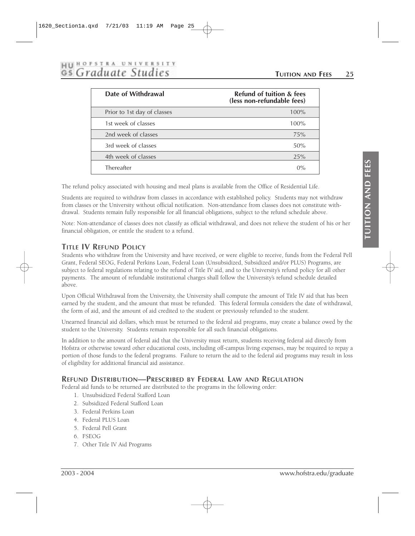# HU BOFSTRA UNIVERSITY<br>GS Graduate Studies

#### **TUITION AND FEES 25**

| Date of Withdrawal          | <b>Refund of tuition &amp; fees</b><br>(less non-refundable fees) |
|-----------------------------|-------------------------------------------------------------------|
| Prior to 1st day of classes | 100%                                                              |
| 1st week of classes         | 100%                                                              |
| 2nd week of classes         | 75%                                                               |
| 3rd week of classes         | 50%                                                               |
| 4th week of classes         | 25%                                                               |
| Thereafter                  | $0\%$                                                             |

The refund policy associated with housing and meal plans is available from the Office of Residential Life.

Students are required to withdraw from classes in accordance with established policy. Students may not withdraw from classes or the University without official notification. Non-attendance from classes does not constitute withdrawal. Students remain fully responsible for all financial obligations, subject to the refund schedule above.

Note: Non-attendance of classes does not classify as official withdrawal, and does not relieve the student of his or her financial obligation, or entitle the student to a refund.

#### **TITLE IV REFUND POLICY**

Students who withdraw from the University and have received, or were eligible to receive, funds from the Federal Pell Grant, Federal SEOG, Federal Perkins Loan, Federal Loan (Unsubsidized, Subsidized and/or PLUS) Programs, are subject to federal regulations relating to the refund of Title IV aid, and to the University's refund policy for all other payments. The amount of refundable institutional charges shall follow the University's refund schedule detailed above.

Upon Official Withdrawal from the University, the University shall compute the amount of Title IV aid that has been earned by the student, and the amount that must be refunded. This federal formula considers the date of withdrawal, the form of aid, and the amount of aid credited to the student or previously refunded to the student.

Unearned financial aid dollars, which must be returned to the federal aid programs, may create a balance owed by the student to the University. Students remain responsible for all such financial obligations.

In addition to the amount of federal aid that the University must return, students receiving federal aid directly from Hofstra or otherwise toward other educational costs, including off-campus living expenses, may be required to repay a portion of those funds to the federal programs. Failure to return the aid to the federal aid programs may result in loss of eligibility for additional financial aid assistance.

#### **REFUND DISTRIBUTION—PRESCRIBED BY FEDERAL LAW AND REGULATION**

Federal aid funds to be returned are distributed to the programs in the following order:

- 1. Unsubsidized Federal Stafford Loan
- 2. Subsidized Federal Stafford Loan
- 3. Federal Perkins Loan
- 4. Federal PLUS Loan
- 5. Federal Pell Grant
- 6. FSEOG
- 7. Other Title IV Aid Programs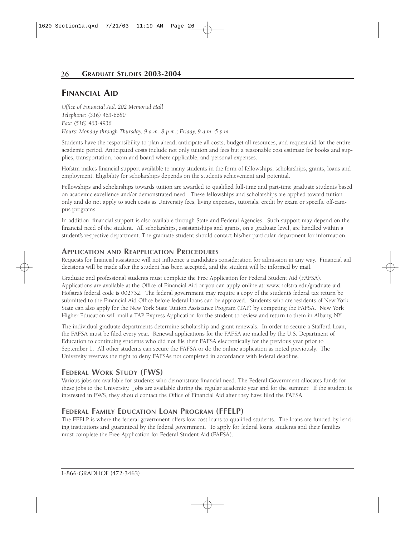#### **FINANCIAL AID**

*Office of Financial Aid, 202 Memorial Hall Telephone: (516) 463-6680 Fax: (516) 463-4936 Hours: Monday through Thursday, 9 a.m.-8 p.m.; Friday, 9 a.m.-5 p.m.*

Students have the responsibility to plan ahead, anticipate all costs, budget all resources, and request aid for the entire academic period. Anticipated costs include not only tuition and fees but a reasonable cost estimate for books and supplies, transportation, room and board where applicable, and personal expenses.

Hofstra makes financial support available to many students in the form of fellowships, scholarships, grants, loans and employment. Eligibility for scholarships depends on the student's achievement and potential.

Fellowships and scholarships towards tuition are awarded to qualified full-time and part-time graduate students based on academic excellence and/or demonstrated need. These fellowships and scholarships are applied toward tuition only and do not apply to such costs as University fees, living expenses, tutorials, credit by exam or specific off-campus programs.

In addition, financial support is also available through State and Federal Agencies. Such support may depend on the financial need of the student. All scholarships, assistantships and grants, on a graduate level, are handled within a student's respective department. The graduate student should contact his/her particular department for information.

#### **APPLICATION AND REAPPLICATION PROCEDURES**

Requests for financial assistance will not influence a candidate's consideration for admission in any way. Financial aid decisions will be made after the student has been accepted, and the student will be informed by mail.

Graduate and professional students must complete the Free Application for Federal Student Aid (FAFSA). Applications are available at the Office of Financial Aid or you can apply online at: www.hofstra.edu/graduate-aid. Hofstra's federal code is 002732. The federal government may require a copy of the student's federal tax return be submitted to the Financial Aid Office before federal loans can be approved. Students who are residents of New York State can also apply for the New York State Tuition Assistance Program (TAP) by competing the FAFSA. New York Higher Education will mail a TAP Express Application for the student to review and return to them in Albany, NY.

The individual graduate departments determine scholarship and grant renewals. In order to secure a Stafford Loan, the FAFSA must be filed every year. Renewal applications for the FAFSA are mailed by the U.S. Department of Education to continuing students who did not file their FAFSA electronically for the previous year prior to September 1. All other students can secure the FAFSA or do the online application as noted previously. The University reserves the right to deny FAFSAs not completed in accordance with federal deadline.

#### **FEDERAL WORK STUDY (FWS)**

Various jobs are available for students who demonstrate financial need. The Federal Government allocates funds for these jobs to the University. Jobs are available during the regular academic year and for the summer. If the student is interested in FWS, they should contact the Office of Financial Aid after they have filed the FAFSA.

#### **FEDERAL FAMILY EDUCATION LOAN PROGRAM (FFELP)**

The FFELP is where the federal government offers low-cost loans to qualified students. The loans are funded by lending institutions and guaranteed by the federal government. To apply for federal loans, students and their families must complete the Free Application for Federal Student Aid (FAFSA).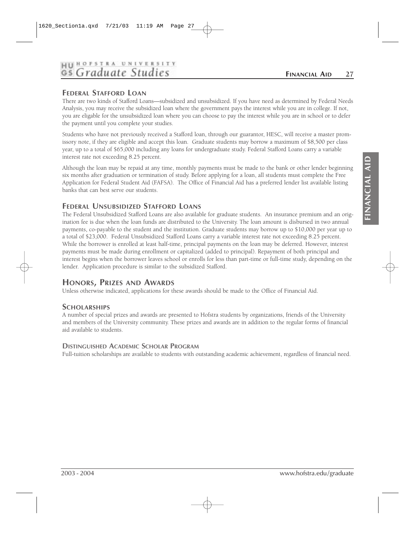# **HII HOFSTRA UNIVERSITY** Gs Graduate Studies

# **FEDERAL STAFFORD LOAN**

There are two kinds of Stafford Loans—subsidized and unsubsidized. If you have need as determined by Federal Needs Analysis, you may receive the subsidized loan where the government pays the interest while you are in college. If not, you are eligable for the unsubsidized loan where you can choose to pay the interest while you are in school or to defer the payment until you complete your studies.

Students who have not previously received a Stafford loan, through our guarantor, HESC, will receive a master promissory note, if they are eligible and accept this loan. Graduate students may borrow a maximum of \$8,500 per class year, up to a total of \$65,000 including any loans for undergraduate study. Federal Stafford Loans carry a variable interest rate not exceeding 8.25 percent.

Although the loan may be repaid at any time, monthly payments must be made to the bank or other lender beginning six months after graduation or termination of study. Before applying for a loan, all students must complete the Free Application for Federal Student Aid (FAFSA). The Office of Financial Aid has a preferred lender list available listing banks that can best serve our students.

## **FEDERAL UNSUBSIDIZED STAFFORD LOANS**

The Federal Unsubsidized Stafford Loans are also available for graduate students. An insurance premium and an origination fee is due when the loan funds are distributed to the University. The loan amount is disbursed in two annual payments, co-payable to the student and the institution. Graduate students may borrow up to \$10,000 per year up to a total of \$23,000. Federal Unsubsidized Stafford Loans carry a variable interest rate not exceeding 8.25 percent. While the borrower is enrolled at least half-time, principal payments on the loan may be deferred. However, interest payments must be made during enrollment or capitalized (added to principal). Repayment of both principal and interest begins when the borrower leaves school or enrolls for less than part-time or full-time study, depending on the lender. Application procedure is similar to the subsidized Stafford.

## **HONORS, PRIZES AND AWARDS**

Unless otherwise indicated, applications for these awards should be made to the Office of Financial Aid.

#### **SCHOLARSHIPS**

A number of special prizes and awards are presented to Hofstra students by organizations, friends of the University and members of the University community. These prizes and awards are in addition to the regular forms of financial aid available to students.

#### **DISTINGUISHED ACADEMIC SCHOLAR PROGRAM**

Full-tuition scholarships are available to students with outstanding academic achievement, regardless of financial need.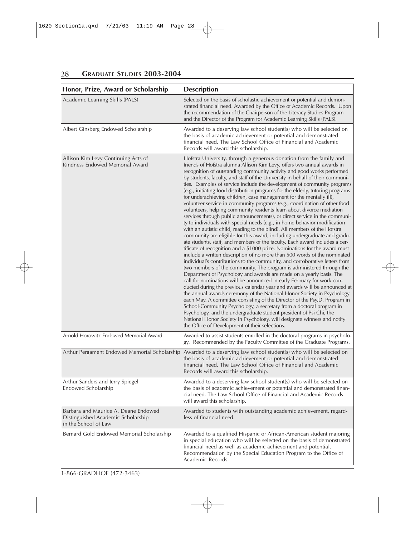| Honor, Prize, Award or Scholarship                                                                 | <b>Description</b>                                                                                                                                                                                                                                                                                                                                                                                                                                                                                                                                                                                                                                                                                                                                                                                                                                                                                                                                                                                                                                                                                                                                                                                                                                                                                                                                                                                                                                                                                                                                                                                                                                                                                                                                                                                                                                                                                                                                                                                                                                                                       |
|----------------------------------------------------------------------------------------------------|------------------------------------------------------------------------------------------------------------------------------------------------------------------------------------------------------------------------------------------------------------------------------------------------------------------------------------------------------------------------------------------------------------------------------------------------------------------------------------------------------------------------------------------------------------------------------------------------------------------------------------------------------------------------------------------------------------------------------------------------------------------------------------------------------------------------------------------------------------------------------------------------------------------------------------------------------------------------------------------------------------------------------------------------------------------------------------------------------------------------------------------------------------------------------------------------------------------------------------------------------------------------------------------------------------------------------------------------------------------------------------------------------------------------------------------------------------------------------------------------------------------------------------------------------------------------------------------------------------------------------------------------------------------------------------------------------------------------------------------------------------------------------------------------------------------------------------------------------------------------------------------------------------------------------------------------------------------------------------------------------------------------------------------------------------------------------------------|
| Academic Learning Skills (PALS)                                                                    | Selected on the basis of scholastic achievement or potential and demon-<br>strated financial need. Awarded by the Office of Academic Records. Upon<br>the recommendation of the Chairperson of the Literacy Studies Program<br>and the Director of the Program for Academic Learning Skills (PALS).                                                                                                                                                                                                                                                                                                                                                                                                                                                                                                                                                                                                                                                                                                                                                                                                                                                                                                                                                                                                                                                                                                                                                                                                                                                                                                                                                                                                                                                                                                                                                                                                                                                                                                                                                                                      |
| Albert Ginsberg Endowed Scholarship                                                                | Awarded to a deserving law school student(s) who will be selected on<br>the basis of academic achievement or potential and demonstrated<br>financial need. The Law School Office of Financial and Academic<br>Records will award this scholarship.                                                                                                                                                                                                                                                                                                                                                                                                                                                                                                                                                                                                                                                                                                                                                                                                                                                                                                                                                                                                                                                                                                                                                                                                                                                                                                                                                                                                                                                                                                                                                                                                                                                                                                                                                                                                                                       |
| Allison Kim Levy Continuing Acts of<br>Kindness Endowed Memorial Award                             | Hofstra University, through a generous donation from the family and<br>friends of Hofstra alumna Allison Kim Levy, offers two annual awards in<br>recognition of outstanding community activity and good works performed<br>by students, faculty, and staff of the University in behalf of their communi-<br>ties. Examples of service include the development of community programs<br>(e.g., initiating food distribution programs for the elderly, tutoring programs<br>for underachieving children, case management for the mentally ill),<br>volunteer service in community programs (e.g., coordination of other food<br>volunteers, helping community residents learn about divorce mediation<br>services through public announcements), or direct service in the communi-<br>ty to individuals with special needs (e.g., in home behavior modification<br>with an autistic child, reading to the blind). All members of the Hofstra<br>community are eligible for this award, including undergraduate and gradu-<br>ate students, staff, and members of the faculty. Each award includes a cer-<br>tificate of recognition and a \$1000 prize. Nominations for the award must<br>include a written description of no more than 500 words of the nominated<br>individual's contributions to the community, and corroborative letters from<br>two members of the community. The program is administered through the<br>Department of Psychology and awards are made on a yearly basis. The<br>call for nominations will be announced in early February for work con-<br>ducted during the previous calendar year and awards will be announced at<br>the annual awards ceremony of the National Honor Society in Psychology<br>each May. A committee consisting of the Director of the Psy.D. Program in<br>School-Community Psychology, a secretary from a doctoral program in<br>Psychology, and the undergraduate student president of Psi Chi, the<br>National Honor Society in Psychology, will designate winners and notify<br>the Office of Development of their selections. |
| Arnold Horowitz Endowed Memorial Award                                                             | Awarded to assist students enrolled in the doctoral programs in psycholo-<br>gy. Recommended by the Faculty Committee of the Graduate Programs.                                                                                                                                                                                                                                                                                                                                                                                                                                                                                                                                                                                                                                                                                                                                                                                                                                                                                                                                                                                                                                                                                                                                                                                                                                                                                                                                                                                                                                                                                                                                                                                                                                                                                                                                                                                                                                                                                                                                          |
| Arthur Pergament Endowed Memorial Scholarship                                                      | Awarded to a deserving law school student(s) who will be selected on<br>the basis of academic achievement or potential and demonstrated<br>financial need. The Law School Office of Financial and Academic<br>Records will award this scholarship.                                                                                                                                                                                                                                                                                                                                                                                                                                                                                                                                                                                                                                                                                                                                                                                                                                                                                                                                                                                                                                                                                                                                                                                                                                                                                                                                                                                                                                                                                                                                                                                                                                                                                                                                                                                                                                       |
| Arthur Sanders and Jerry Spiegel<br>Endowed Scholarship                                            | Awarded to a deserving law school student(s) who will be selected on<br>the basis of academic achievement or potential and demonstrated finan-<br>cial need. The Law School Office of Financial and Academic Records<br>will award this scholarship.                                                                                                                                                                                                                                                                                                                                                                                                                                                                                                                                                                                                                                                                                                                                                                                                                                                                                                                                                                                                                                                                                                                                                                                                                                                                                                                                                                                                                                                                                                                                                                                                                                                                                                                                                                                                                                     |
| Barbara and Maurice A. Deane Endowed<br>Distinguished Academic Scholarship<br>in the School of Law | Awarded to students with outstanding academic achievement, regard-<br>less of financial need.                                                                                                                                                                                                                                                                                                                                                                                                                                                                                                                                                                                                                                                                                                                                                                                                                                                                                                                                                                                                                                                                                                                                                                                                                                                                                                                                                                                                                                                                                                                                                                                                                                                                                                                                                                                                                                                                                                                                                                                            |
| Bernard Gold Endowed Memorial Scholarship                                                          | Awarded to a qualified Hispanic or African-American student majoring<br>in special education who will be selected on the basis of demonstrated<br>financial need as well as academic achievement and potential.<br>Recommendation by the Special Education Program to the Office of<br>Academic Records.                                                                                                                                                                                                                                                                                                                                                                                                                                                                                                                                                                                                                                                                                                                                                                                                                                                                                                                                                                                                                                                                                                                                                                                                                                                                                                                                                                                                                                                                                                                                                                                                                                                                                                                                                                                 |

1-866-GRADHOF (472-3463)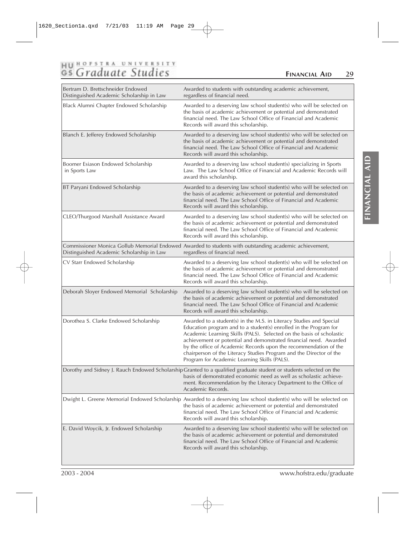# HU HOFSTRA UNIVERSITY<br>GS Graduate Studies

## **FINANCIAL AID 29**

**FINANCIAL AID**

FINANCIAL AID

| Bertram D. Brettschneider Endowed<br>Distinguished Academic Scholarship in Law | Awarded to students with outstanding academic achievement,<br>regardless of financial need.                                                                                                                                                                                                                                                                                                                                                                                      |
|--------------------------------------------------------------------------------|----------------------------------------------------------------------------------------------------------------------------------------------------------------------------------------------------------------------------------------------------------------------------------------------------------------------------------------------------------------------------------------------------------------------------------------------------------------------------------|
| Black Alumni Chapter Endowed Scholarship                                       | Awarded to a deserving law school student(s) who will be selected on<br>the basis of academic achievement or potential and demonstrated<br>financial need. The Law School Office of Financial and Academic<br>Records will award this scholarship.                                                                                                                                                                                                                               |
| Blanch E. Jefferey Endowed Scholarship                                         | Awarded to a deserving law school student(s) who will be selected on<br>the basis of academic achievement or potential and demonstrated<br>financial need. The Law School Office of Financial and Academic<br>Records will award this scholarship.                                                                                                                                                                                                                               |
| Boomer Esiason Endowed Scholarship<br>in Sports Law                            | Awarded to a deserving law school student(s) specializing in Sports<br>Law. The Law School Office of Financial and Academic Records will<br>award this scholarship.                                                                                                                                                                                                                                                                                                              |
| BT Paryani Endowed Scholarship                                                 | Awarded to a deserving law school student(s) who will be selected on<br>the basis of academic achievement or potential and demonstrated<br>financial need. The Law School Office of Financial and Academic<br>Records will award this scholarship.                                                                                                                                                                                                                               |
| CLEO/Thurgood Marshall Assistance Award                                        | Awarded to a deserving law school student(s) who will be selected on<br>the basis of academic achievement or potential and demonstrated<br>financial need. The Law School Office of Financial and Academic<br>Records will award this scholarship.                                                                                                                                                                                                                               |
| Distinguished Academic Scholarship in Law                                      | Commissioner Monica Gollub Memorial Endowed Awarded to students with outstanding academic achievement,<br>regardless of financial need.                                                                                                                                                                                                                                                                                                                                          |
| CV Starr Endowed Scholarship                                                   | Awarded to a deserving law school student(s) who will be selected on<br>the basis of academic achievement or potential and demonstrated<br>financial need. The Law School Office of Financial and Academic<br>Records will award this scholarship.                                                                                                                                                                                                                               |
| Deborah Sloyer Endowed Memorial Scholarship                                    | Awarded to a deserving law school student(s) who will be selected on<br>the basis of academic achievement or potential and demonstrated<br>financial need. The Law School Office of Financial and Academic<br>Records will award this scholarship.                                                                                                                                                                                                                               |
| Dorothea S. Clarke Endowed Scholarship                                         | Awarded to a student(s) in the M.S. in Literacy Studies and Special<br>Education program and to a student(s) enrolled in the Program for<br>Academic Learning Skills (PALS). Selected on the basis of scholastic<br>achievement or potential and demonstrated financial need. Awarded<br>by the office of Academic Records upon the recommendation of the<br>chairperson of the Literacy Studies Program and the Director of the<br>Program for Academic Learning Skills (PALS). |
|                                                                                | Dorothy and Sidney J. Rauch Endowed Scholarship Granted to a qualified graduate student or students selected on the<br>basis of demonstrated economic need as well as scholastic achieve-<br>ment. Recommendation by the Literacy Department to the Office of<br>Academic Records.                                                                                                                                                                                               |
|                                                                                | Dwight L. Greene Memorial Endowed Scholarship Awarded to a deserving law school student(s) who will be selected on<br>the basis of academic achievement or potential and demonstrated<br>financial need. The Law School Office of Financial and Academic<br>Records will award this scholarship.                                                                                                                                                                                 |
| E. David Woycik, Jr. Endowed Scholarship                                       | Awarded to a deserving law school student(s) who will be selected on<br>the basis of academic achievement or potential and demonstrated<br>financial need. The Law School Office of Financial and Academic<br>Records will award this scholarship.                                                                                                                                                                                                                               |

2003 - 2004 www.hofstra.edu/graduate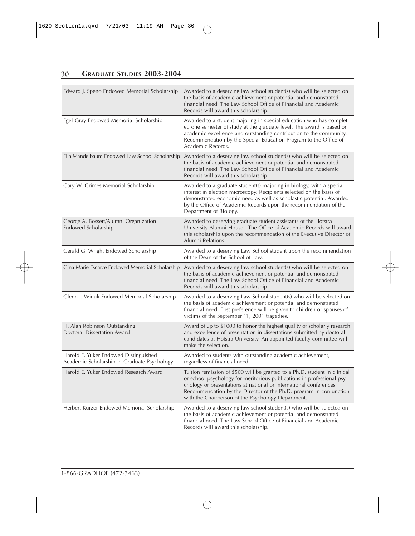| Edward J. Speno Endowed Memorial Scholarship                                         | Awarded to a deserving law school student(s) who will be selected on<br>the basis of academic achievement or potential and demonstrated<br>financial need. The Law School Office of Financial and Academic<br>Records will award this scholarship.                                                                                                    |
|--------------------------------------------------------------------------------------|-------------------------------------------------------------------------------------------------------------------------------------------------------------------------------------------------------------------------------------------------------------------------------------------------------------------------------------------------------|
| Egel-Gray Endowed Memorial Scholarship                                               | Awarded to a student majoring in special education who has complet-<br>ed one semester of study at the graduate level. The award is based on<br>academic excellence and outstanding contribution to the community.<br>Recommendation by the Special Education Program to the Office of<br>Academic Records.                                           |
| Ella Mandelbaum Endowed Law School Scholarship                                       | Awarded to a deserving law school student(s) who will be selected on<br>the basis of academic achievement or potential and demonstrated<br>financial need. The Law School Office of Financial and Academic<br>Records will award this scholarship.                                                                                                    |
| Gary W. Grimes Memorial Scholarship                                                  | Awarded to a graduate student(s) majoring in biology, with a special<br>interest in electron microscopy. Recipients selected on the basis of<br>demonstrated economic need as well as scholastic potential. Awarded<br>by the Office of Academic Records upon the recommendation of the<br>Department of Biology.                                     |
| George A. Bossert/Alumni Organization<br>Endowed Scholarship                         | Awarded to deserving graduate student assistants of the Hofstra<br>University Alumni House. The Office of Academic Records will award<br>this scholarship upon the recommendation of the Executive Director of<br>Alumni Relations.                                                                                                                   |
| Gerald G. Wright Endowed Scholarship                                                 | Awarded to a deserving Law School student upon the recommendation<br>of the Dean of the School of Law.                                                                                                                                                                                                                                                |
| Gina Marie Escarce Endowed Memorial Scholarship                                      | Awarded to a deserving law school student(s) who will be selected on<br>the basis of academic achievement or potential and demonstrated<br>financial need. The Law School Office of Financial and Academic<br>Records will award this scholarship.                                                                                                    |
| Glenn J. Winuk Endowed Memorial Scholarship                                          | Awarded to a deserving Law School student(s) who will be selected on<br>the basis of academic achievement or potential and demonstrated<br>financial need. First preference will be given to children or spouses of<br>victims of the September 11, 2001 tragedies.                                                                                   |
| H. Alan Robinson Outstanding<br>Doctoral Dissertation Award                          | Award of up to \$1000 to honor the highest quality of scholarly research<br>and excellence of presentation in dissertations submitted by doctoral<br>candidates at Hofstra University. An appointed faculty committee will<br>make the selection.                                                                                                     |
| Harold E. Yuker Endowed Distinguished<br>Academic Scholarship in Graduate Psychology | Awarded to students with outstanding academic achievement,<br>regardless of financial need.                                                                                                                                                                                                                                                           |
| Harold E. Yuker Endowed Research Award                                               | Tuition remission of \$500 will be granted to a Ph.D. student in clinical<br>or school psychology for meritorious publications in professional psy-<br>chology or presentations at national or international conferences.<br>Recommendation by the Director of the Ph.D. program in conjunction<br>with the Chairperson of the Psychology Department. |
| Herbert Kurzer Endowed Memorial Scholarship                                          | Awarded to a deserving law school student(s) who will be selected on<br>the basis of academic achievement or potential and demonstrated<br>financial need. The Law School Office of Financial and Academic<br>Records will award this scholarship.                                                                                                    |

1-866-GRADHOF (472-3463)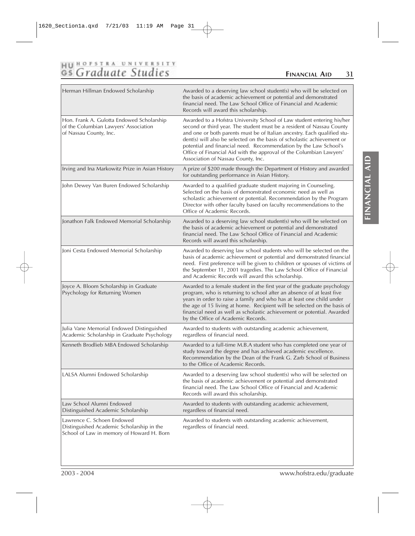# HU HOFSTRA UNIVERSITY<br>GS Graduate Studies

## **FINANCIAL AID 31**

| Herman Hillman Endowed Scholarship                                                                                   | Awarded to a deserving law school student(s) who will be selected on<br>the basis of academic achievement or potential and demonstrated<br>financial need. The Law School Office of Financial and Academic<br>Records will award this scholarship.                                                                                                                                                                                                                                      |
|----------------------------------------------------------------------------------------------------------------------|-----------------------------------------------------------------------------------------------------------------------------------------------------------------------------------------------------------------------------------------------------------------------------------------------------------------------------------------------------------------------------------------------------------------------------------------------------------------------------------------|
| Hon. Frank A. Gulotta Endowed Scholarship<br>of the Columbian Lawyers' Association<br>of Nassau County, Inc.         | Awarded to a Hofstra University School of Law student entering his/her<br>second or third year. The student must be a resident of Nassau County<br>and one or both parents must be of Italian ancestry. Each qualified stu-<br>dent(s) will also be selected on the basis of scholastic achievement or<br>potential and financial need. Recommendation by the Law School's<br>Office of Financial Aid with the approval of the Columbian Lawyers'<br>Association of Nassau County, Inc. |
| Irving and Ina Markowitz Prize in Asian History                                                                      | A prize of \$200 made through the Department of History and awarded<br>for outstanding performance in Asian History.                                                                                                                                                                                                                                                                                                                                                                    |
| John Dewey Van Buren Endowed Scholarship                                                                             | Awarded to a qualified graduate student majoring in Counseling.<br>Selected on the basis of demonstrated economic need as well as<br>scholastic achievement or potential. Recommendation by the Program<br>Director with other faculty based on faculty recommendations to the<br>Office of Academic Records.                                                                                                                                                                           |
| Jonathon Falk Endowed Memorial Scholarship                                                                           | Awarded to a deserving law school student(s) who will be selected on<br>the basis of academic achievement or potential and demonstrated<br>financial need. The Law School Office of Financial and Academic<br>Records will award this scholarship.                                                                                                                                                                                                                                      |
| Joni Cesta Endowed Memorial Scholarship                                                                              | Awarded to deserving law school students who will be selected on the<br>basis of academic achievement or potential and demonstrated financial<br>need. First preference will be given to children or spouses of victims of<br>the September 11, 2001 tragedies. The Law School Office of Financial<br>and Academic Records will award this scholarship.                                                                                                                                 |
| Joyce A. Bloom Scholarship in Graduate<br>Psychology for Returning Women                                             | Awarded to a female student in the first year of the graduate psychology<br>program, who is returning to school after an absence of at least five<br>years in order to raise a family and who has at least one child under<br>the age of 15 living at home. Recipient will be selected on the basis of<br>financial need as well as scholastic achievement or potential. Awarded<br>by the Office of Academic Records.                                                                  |
| Julia Vane Memorial Endowed Distinguished<br>Academic Scholarship in Graduate Psychology                             | Awarded to students with outstanding academic achievement,<br>regardless of financial need.                                                                                                                                                                                                                                                                                                                                                                                             |
| Kenneth Brodlieb MBA Endowed Scholarship                                                                             | Awarded to a full-time M.B.A student who has completed one year of<br>study toward the degree and has achieved academic excellence.<br>Recommendation by the Dean of the Frank G. Zarb School of Business<br>to the Office of Academic Records.                                                                                                                                                                                                                                         |
| LALSA Alumni Endowed Scholarship                                                                                     | Awarded to a deserving law school student(s) who will be selected on<br>the basis of academic achievement or potential and demonstrated<br>financial need. The Law School Office of Financial and Academic<br>Records will award this scholarship.                                                                                                                                                                                                                                      |
| Law School Alumni Endowed<br>Distinguished Academic Scholarship                                                      | Awarded to students with outstanding academic achievement,<br>regardless of financial need.                                                                                                                                                                                                                                                                                                                                                                                             |
| Lawrence C. Schoen Endowed<br>Distinguished Academic Scholarship in the<br>School of Law in memory of Howard H. Born | Awarded to students with outstanding academic achievement,<br>regardless of financial need.                                                                                                                                                                                                                                                                                                                                                                                             |

2003 - 2004 www.hofstra.edu/graduate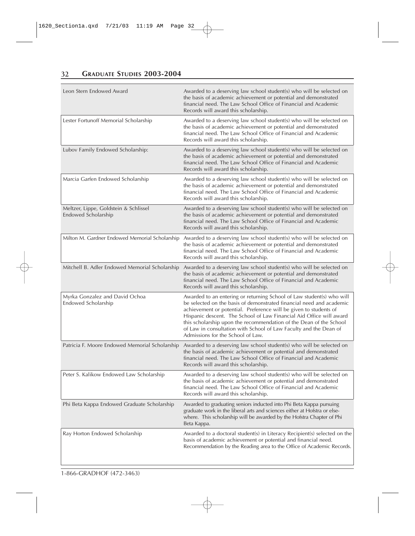| Leon Stern Endowed Award                                     | Awarded to a deserving law school student(s) who will be selected on<br>the basis of academic achievement or potential and demonstrated<br>financial need. The Law School Office of Financial and Academic<br>Records will award this scholarship.                                                                                                                                                                                                                        |
|--------------------------------------------------------------|---------------------------------------------------------------------------------------------------------------------------------------------------------------------------------------------------------------------------------------------------------------------------------------------------------------------------------------------------------------------------------------------------------------------------------------------------------------------------|
| Lester Fortunoff Memorial Scholarship                        | Awarded to a deserving law school student(s) who will be selected on<br>the basis of academic achievement or potential and demonstrated<br>financial need. The Law School Office of Financial and Academic<br>Records will award this scholarship.                                                                                                                                                                                                                        |
| Lubov Family Endowed Scholarship:                            | Awarded to a deserving law school student(s) who will be selected on<br>the basis of academic achievement or potential and demonstrated<br>financial need. The Law School Office of Financial and Academic<br>Records will award this scholarship.                                                                                                                                                                                                                        |
| Marcia Garfen Endowed Scholarship                            | Awarded to a deserving law school student(s) who will be selected on<br>the basis of academic achievement or potential and demonstrated<br>financial need. The Law School Office of Financial and Academic<br>Records will award this scholarship.                                                                                                                                                                                                                        |
| Meltzer, Lippe, Goldstein & Schlissel<br>Endowed Scholarship | Awarded to a deserving law school student(s) who will be selected on<br>the basis of academic achievement or potential and demonstrated<br>financial need. The Law School Office of Financial and Academic<br>Records will award this scholarship.                                                                                                                                                                                                                        |
| Milton M. Gardner Endowed Memorial Scholarship               | Awarded to a deserving law school student(s) who will be selected on<br>the basis of academic achievement or potential and demonstrated<br>financial need. The Law School Office of Financial and Academic<br>Records will award this scholarship.                                                                                                                                                                                                                        |
| Mitchell B. Adler Endowed Memorial Scholarship               | Awarded to a deserving law school student(s) who will be selected on<br>the basis of academic achievement or potential and demonstrated<br>financial need. The Law School Office of Financial and Academic<br>Records will award this scholarship.                                                                                                                                                                                                                        |
| Myrka Gonzalez and David Ochoa<br>Endowed Scholarship        | Awarded to an entering or returning School of Law student(s) who will<br>be selected on the basis of demonstrated financial need and academic<br>achievement or potential. Preference will be given to students of<br>Hispanic descent. The School of Law Financial Aid Office will award<br>this scholarship upon the recommendation of the Dean of the School<br>of Law in consultation with School of Law Faculty and the Dean of<br>Admissions for the School of Law. |
| Patricia F. Moore Endowed Memorial Scholarship               | Awarded to a deserving law school student(s) who will be selected on<br>the basis of academic achievement or potential and demonstrated<br>financial need. The Law School Office of Financial and Academic<br>Records will award this scholarship.                                                                                                                                                                                                                        |
| Peter S. Kalikow Endowed Law Scholarship                     | Awarded to a deserving law school student(s) who will be selected on<br>the basis of academic achievement or potential and demonstrated<br>financial need. The Law School Office of Financial and Academic<br>Records will award this scholarship.                                                                                                                                                                                                                        |
| Phi Beta Kappa Endowed Graduate Scholarship                  | Awarded to graduating seniors inducted into Phi Beta Kappa pursuing<br>graduate work in the liberal arts and sciences either at Hofstra or else-<br>where. This scholarship will be awarded by the Hofstra Chapter of Phi<br>Beta Kappa.                                                                                                                                                                                                                                  |
| Ray Horton Endowed Scholarship                               | Awarded to a doctoral student(s) in Literacy Recipient(s) selected on the<br>basis of academic achievement or potential and financial need.<br>Recommendation by the Reading area to the Office of Academic Records.                                                                                                                                                                                                                                                      |

1-866-GRADHOF (472-3463)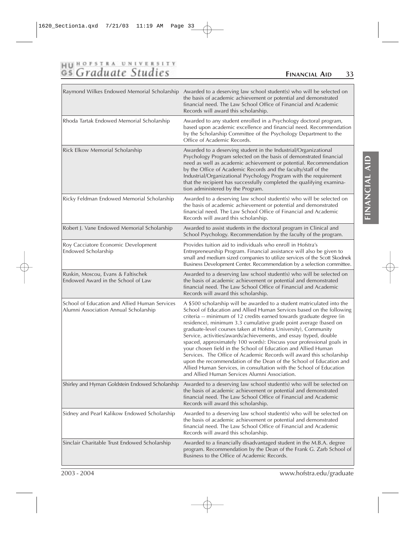# HUROFSTRA UNIVERSITY

# **FINANCIAL AID 33**

|                                                                                        | Raymond Wilkes Endowed Memorial Scholarship Awarded to a deserving law school student(s) who will be selected on<br>the basis of academic achievement or potential and demonstrated<br>financial need. The Law School Office of Financial and Academic<br>Records will award this scholarship.                                                                                                                                                                                                                                                                                                                                                                                                                                                                                                                                                   |
|----------------------------------------------------------------------------------------|--------------------------------------------------------------------------------------------------------------------------------------------------------------------------------------------------------------------------------------------------------------------------------------------------------------------------------------------------------------------------------------------------------------------------------------------------------------------------------------------------------------------------------------------------------------------------------------------------------------------------------------------------------------------------------------------------------------------------------------------------------------------------------------------------------------------------------------------------|
| Rhoda Tartak Endowed Memorial Scholarship                                              | Awarded to any student enrolled in a Psychology doctoral program,<br>based upon academic excellence and financial need. Recommendation<br>by the Scholarship Committee of the Psychology Department to the<br>Office of Academic Records.                                                                                                                                                                                                                                                                                                                                                                                                                                                                                                                                                                                                        |
| Rick Elkow Memorial Scholarship                                                        | Awarded to a deserving student in the Industrial/Organizational<br>Psychology Program selected on the basis of demonstrated financial<br>need as well as academic achievement or potential. Recommendation<br>by the Office of Academic Records and the faculty/staff of the<br>Industrial/Organizational Psychology Program with the requirement<br>that the recipient has successfully completed the qualifying examina-<br>tion administered by the Program.                                                                                                                                                                                                                                                                                                                                                                                  |
| Ricky Feldman Endowed Memorial Scholarship                                             | Awarded to a deserving law school student(s) who will be selected on<br>the basis of academic achievement or potential and demonstrated<br>financial need. The Law School Office of Financial and Academic<br>Records will award this scholarship.                                                                                                                                                                                                                                                                                                                                                                                                                                                                                                                                                                                               |
| Robert J. Vane Endowed Memorial Scholarship                                            | Awarded to assist students in the doctoral program in Clinical and<br>School Psychology. Recommendation by the faculty of the program.                                                                                                                                                                                                                                                                                                                                                                                                                                                                                                                                                                                                                                                                                                           |
| Roy Cacciatore Economic Development<br>Endowed Scholarship                             | Provides tuition aid to individuals who enroll in Hofstra's<br>Entrepreneurship Program. Financial assistance will also be given to<br>small and medium sized companies to utilize services of the Scott Skodnek<br>Business Development Center. Recommendation by a selection committee.                                                                                                                                                                                                                                                                                                                                                                                                                                                                                                                                                        |
| Ruskin, Moscou, Evans & Faltischek<br>Endowed Award in the School of Law               | Awarded to a deserving law school student(s) who will be selected on<br>the basis of academic achievement or potential and demonstrated<br>financial need. The Law School Office of Financial and Academic<br>Records will award this scholarship.                                                                                                                                                                                                                                                                                                                                                                                                                                                                                                                                                                                               |
| School of Education and Allied Human Services<br>Alumni Association Annual Scholarship | A \$500 scholarship will be awarded to a student matriculated into the<br>School of Education and Allied Human Services based on the following<br>criteria -- minimum of 12 credits earned towards graduate degree (in<br>residence), minimum 3.3 cumulative grade point average (based on<br>graduate-level courses taken at Hofstra University), Community<br>Service, activities/awards/achievements, and essay (typed, double<br>spaced, approximately 100 words): Discuss your professional goals in<br>your chosen field in the School of Education and Allied Human<br>Services. The Office of Academic Records will award this scholarship<br>upon the recommendation of the Dean of the School of Education and<br>Allied Human Services, in consultation with the School of Education<br>and Allied Human Services Alumni Association. |
| Shirley and Hyman Goldstein Endowed Scholarship                                        | Awarded to a deserving law school student(s) who will be selected on<br>the basis of academic achievement or potential and demonstrated<br>financial need. The Law School Office of Financial and Academic<br>Records will award this scholarship.                                                                                                                                                                                                                                                                                                                                                                                                                                                                                                                                                                                               |
| Sidney and Pearl Kalikow Endowed Scholarship                                           | Awarded to a deserving law school student(s) who will be selected on<br>the basis of academic achievement or potential and demonstrated<br>financial need. The Law School Office of Financial and Academic<br>Records will award this scholarship.                                                                                                                                                                                                                                                                                                                                                                                                                                                                                                                                                                                               |
| Sinclair Charitable Trust Endowed Scholarship                                          | Awarded to a financially disadvantaged student in the M.B.A. degree<br>program. Recommendation by the Dean of the Frank G. Zarb School of<br>Business to the Office of Academic Records.                                                                                                                                                                                                                                                                                                                                                                                                                                                                                                                                                                                                                                                         |

FINANCIAL AID **FINANCIAL AID**

2003 - 2004 www.hofstra.edu/graduate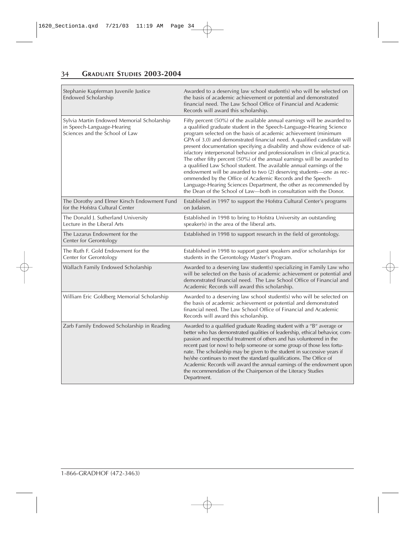| Stephanie Kupferman Juvenile Justice<br>Endowed Scholarship                                                | Awarded to a deserving law school student(s) who will be selected on<br>the basis of academic achievement or potential and demonstrated<br>financial need. The Law School Office of Financial and Academic<br>Records will award this scholarship.                                                                                                                                                                                                                                                                                                                                                                                                                                                                                                                                                                                                                                      |
|------------------------------------------------------------------------------------------------------------|-----------------------------------------------------------------------------------------------------------------------------------------------------------------------------------------------------------------------------------------------------------------------------------------------------------------------------------------------------------------------------------------------------------------------------------------------------------------------------------------------------------------------------------------------------------------------------------------------------------------------------------------------------------------------------------------------------------------------------------------------------------------------------------------------------------------------------------------------------------------------------------------|
| Sylvia Martin Endowed Memorial Scholarship<br>in Speech-Language-Hearing<br>Sciences and the School of Law | Fifty percent (50%) of the available annual earnings will be awarded to<br>a qualified graduate student in the Speech-Language-Hearing Science<br>program selected on the basis of academic achievement (minimum<br>GPA of 3.0) and demonstrated financial need. A qualified candidate will<br>present documentation specifying a disability and show evidence of sat-<br>isfactory interpersonal behavior and professionalism in clinical practica.<br>The other fifty percent (50%) of the annual earnings will be awarded to<br>a qualified Law School student. The available annual earnings of the<br>endowment will be awarded to two (2) deserving students-one as rec-<br>ommended by the Office of Academic Records and the Speech-<br>Language-Hearing Sciences Department, the other as recommended by<br>the Dean of the School of Law-both in consultation with the Donor. |
| The Dorothy and Elmer Kirsch Endowment Fund<br>for the Hofstra Cultural Center                             | Established in 1997 to support the Hofstra Cultural Center's programs<br>on Judaism.                                                                                                                                                                                                                                                                                                                                                                                                                                                                                                                                                                                                                                                                                                                                                                                                    |
| The Donald J. Sutherland University<br>Lecture in the Liberal Arts                                         | Established in 1998 to bring to Hofstra University an outstanding<br>speaker(s) in the area of the liberal arts.                                                                                                                                                                                                                                                                                                                                                                                                                                                                                                                                                                                                                                                                                                                                                                        |
| The Lazarus Endowment for the<br>Center for Gerontology                                                    | Established in 1998 to support research in the field of gerontology.                                                                                                                                                                                                                                                                                                                                                                                                                                                                                                                                                                                                                                                                                                                                                                                                                    |
| The Ruth F. Gold Endowment for the<br>Center for Gerontology                                               | Established in 1998 to support guest speakers and/or scholarships for<br>students in the Gerontology Master's Program.                                                                                                                                                                                                                                                                                                                                                                                                                                                                                                                                                                                                                                                                                                                                                                  |
| Wallach Family Endowed Scholarship                                                                         | Awarded to a deserving law student(s) specializing in Family Law who<br>will be selected on the basis of academic achievement or potential and<br>demonstrated financial need. The Law School Office of Financial and<br>Academic Records will award this scholarship.                                                                                                                                                                                                                                                                                                                                                                                                                                                                                                                                                                                                                  |
| William Eric Goldberg Memorial Scholarship                                                                 | Awarded to a deserving law school student(s) who will be selected on<br>the basis of academic achievement or potential and demonstrated<br>financial need. The Law School Office of Financial and Academic<br>Records will award this scholarship.                                                                                                                                                                                                                                                                                                                                                                                                                                                                                                                                                                                                                                      |
| Zarb Family Endowed Scholarship in Reading                                                                 | Awarded to a qualified graduate Reading student with a "B" average or<br>better who has demonstrated qualities of leadership, ethical behavior, com-<br>passion and respectful treatment of others and has volunteered in the<br>recent past (or now) to help someone or some group of those less fortu-<br>nate. The scholarship may be given to the student in successive years if<br>he/she continues to meet the standard qualifications. The Office of<br>Academic Records will award the annual earnings of the endowment upon<br>the recommendation of the Chairperson of the Literacy Studies<br>Department.                                                                                                                                                                                                                                                                    |